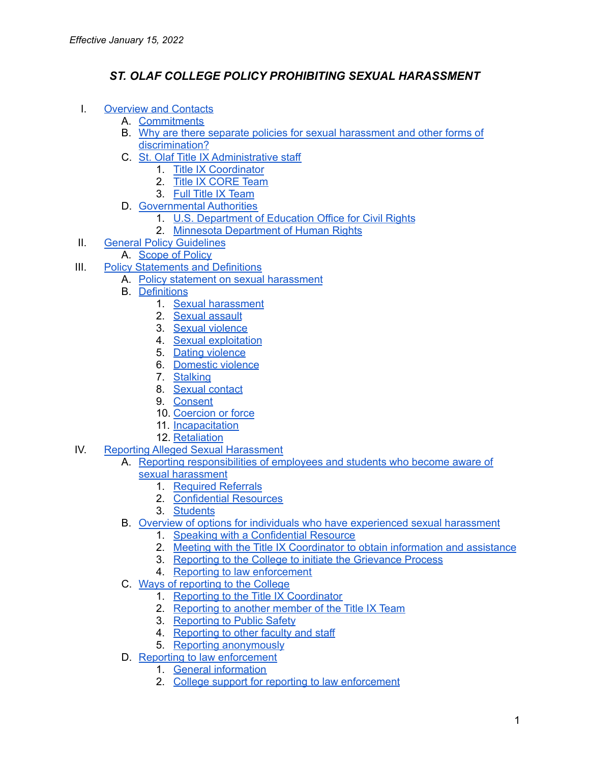# *ST. OLAF COLLEGE POLICY PROHIBITING SEXUAL HARASSMENT*

- I. [Overview](#page-2-0) and Contacts
	- A. [Commitments](#page-2-1)
	- B. Why are there separate policies for sexual [harassment](#page-2-2) and other forms of [discrimination?](#page-2-2)
	- C. St. Olaf Title IX [Administrative](#page-3-0) staff
		- 1. Title IX [Coordinator](#page-3-1)
		- 2. Title IX [CORE](#page-3-2) Team
		- 3. Full Title IX [Team](#page-5-0)
	- D. [Governmental](#page-7-0) Authorities
		- 1. U.S. [Department](#page-7-1) of Education Office for Civil Rights
			- 2. Minnesota [Department](#page-7-2) of Human Rights
- II. General Policy [Guidelines](#page-7-3)
	- A. [Scope](#page-7-4) of Policy
- III. Policy [Statements](#page-8-0) and Definitions
	- A. Policy statement on sexual [harassment](#page-8-1)
		- B. [Definitions](#page-9-0)
			- 1. Sexual [harassment](#page-9-1)
			- 2. Sexual [assault](#page-9-2)
			- 3. Sexual [violence](#page-10-0)
			- 4. Sexual [exploitation](#page-10-1)
			- 5. Dating [violence](#page-10-2)
			- 6. [Domestic](#page-11-0) violence
			- 7. [Stalking](#page-11-1)
			- 8. Sexual [contact](#page-12-0)
			- 9. [Consent](#page-12-1)
			- 10. [Coercion](#page-13-0) or force
			- 11. [Incapacitation](#page-14-0)
			- 12. [Retaliation](#page-15-0)
- IV. Reporting Alleged Sexual [Harassment](#page-15-1)
	- A. Reporting [responsibilities](#page-15-2) of employees and students who become aware of
		- sexual [harassment](#page-15-2)
			- 1. [Required](#page-15-3) Referrals
			- 2. [Confidential](#page-16-0) Resources
			- 3. [Students](#page-17-0)
	- B. Overview of options for individuals who have [experienced](#page-17-1) sexual harassment
		- 1. Speaking with a [Confidential](#page-17-2) Resource
		- 2. Meeting with the Title IX [Coordinator](#page-17-3) to obtain information and assistance
		- 3. Reporting to the College to initiate the [Grievance](#page-18-0) Process
		- 4. Reporting to law [enforcement](#page-18-1)
	- C. Ways of [reporting](#page-18-2) to the College
		- 1. Reporting to the Title IX [Coordinator](#page-19-0)
		- 2. [Reporting](#page-19-1) to another member of the Title IX Team
		- 3. [Reporting](#page-20-0) to Public Safety
		- 4. [Reporting](#page-20-1) to other faculty and staff
		- 5. Reporting [anonymously](#page-20-2)
	- D. Reporting to law [enforcement](#page-20-3)
		- 1. General [information](#page-20-4)
		- 2. College support for reporting to law [enforcement](#page-21-0)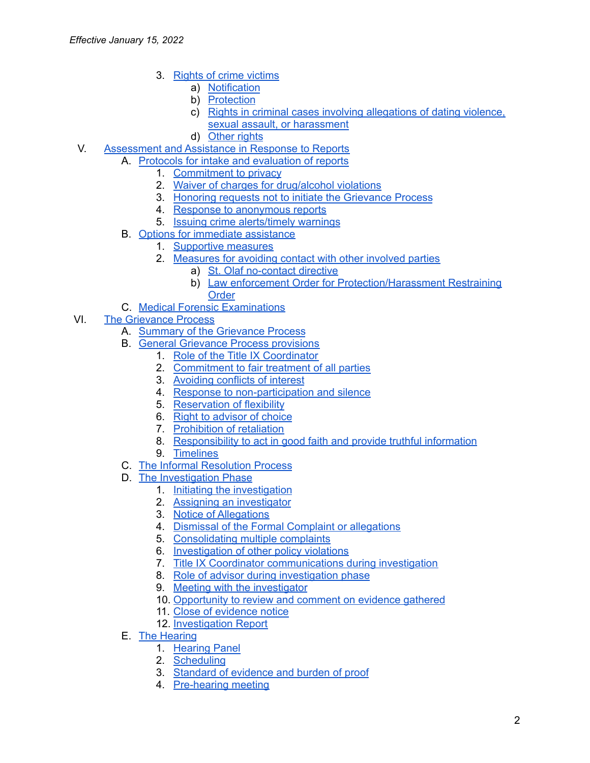- 3. Rights of crime [victims](#page-21-1)
	- a) [Notification](#page-21-2)
	- b) [Protection](#page-22-0)
	- c) Rights in criminal cases involving [allegations](#page-22-1) of dating violence, sexual assault, or [harassment](#page-22-1)
	- d) [Other](#page-22-2) rights
- V. [Assessment](#page-23-0) and Assistance in Response to Reports
	- A. Protocols for intake and [evaluation](#page-23-1) of reports
		- 1. [Commitment](#page-23-2) to privacy
		- 2. Waiver of charges for [drug/alcohol](#page-23-3) violations
		- 3. Honoring requests not to initiate the [Grievance](#page-24-0) Process
		- 4. Response to [anonymous](#page-24-1) reports
		- 5. Issuing crime [alerts/timely](#page-24-2) warnings
	- B. Options for immediate [assistance](#page-25-0)
		- 1. [Supportive](#page-25-1) measures
		- 2. [Measures](#page-26-0) for avoiding contact with other involved parties
			- a) St. Olaf [no-contact](#page-26-1) directive
			- b) Law enforcement Order for [Protection/Harassment](#page-26-2) Restraining **[Order](#page-26-2)**
	- C. Medical Forensic [Examinations](#page-27-0)
- VI. The [Grievance](#page-28-0) Process
	- A. Summary of the [Grievance](#page-28-1) Process
	- B. General [Grievance](#page-30-0) Process provisions
		- 1. Role of the Title IX [Coordinator](#page-30-1)
		- 2. [Commitment](#page-30-2) to fair treatment of all parties
		- 3. [Avoiding](#page-31-0) conflicts of interest
		- 4. Response to [non-participation](#page-31-1) and silence
		- 5. [Reservation](#page-31-2) of flexibility
		- 6. Right to [advisor](#page-32-0) of choice
		- 7. [Prohibition](#page-33-0) of retaliation
		- 8. [Responsibility](#page-33-1) to act in good faith and provide truthful information
		- 9. [Timelines](#page-34-0)
	- C. The Informal [Resolution](#page-34-1) Process
	- D. The [Investigation](#page-35-0) Phase
		- 1. Initiating the [investigation](#page-35-1)
		- 2. Assigning an [investigator](#page-35-2)
		- 3. Notice of [Allegations](#page-35-3)
		- 4. Dismissal of the Formal Complaint or [allegations](#page-36-0)
		- 5. [Consolidating](#page-37-0) multiple complaints
		- 6. [Investigation](#page-37-1) of other policy violations
		- 7. Title IX Coordinator [communications](#page-37-2) during investigation
		- 8. Role of advisor during [investigation](#page-37-3) phase
		- 9. Meeting with the [investigator](#page-38-0)
		- 10. [Opportunity](#page-38-1) to review and comment on evidence gathered
		- 11. Close of [evidence](#page-38-2) notice
		- 12. [Investigation](#page-39-0) Report
	- E. The [Hearing](#page-39-1)
		- 1. [Hearing](#page-39-2) Panel
		- 2. [Scheduling](#page-40-0)
		- 3. [Standard](#page-40-1) of evidence and burden of proof
		- 4. [Pre-hearing](#page-40-2) meeting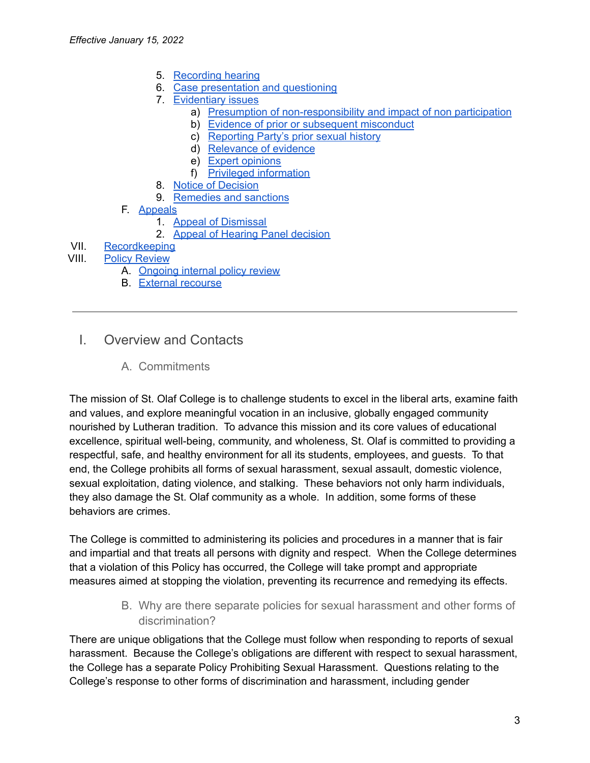- 5. [Recording](#page-40-3) hearing
- 6. Case [presentation](#page-40-4) and questioning
- 7. [Evidentiary](#page-41-0) issues
	- a) Presumption of [non-responsibility](#page-41-1) and impact of non participation
	- b) Evidence of prior or [subsequent](#page-42-0) misconduct
	- c) [Reporting](#page-42-1) Party's prior sexual history
	- d) [Relevance](#page-42-2) of evidence
	- e) Expert [opinions](#page-43-0)
	- f) Privileged [information](#page-43-1)
- 8. Notice of [Decision](#page-43-2)
- 9. [Remedies](#page-43-3) and sanctions
- F. [Appeals](#page-45-0)
	- 1. Appeal of [Dismissal](#page-45-1)
	- 2. Appeal of Hearing Panel [decision](#page-45-2)

### VII. [Recordkeeping](#page-46-0)

#### VIII. Policy [Review](#page-47-0)

- A. [Ongoing](#page-47-1) internal policy review
- B. External [recourse](#page-47-2)
- <span id="page-2-1"></span><span id="page-2-0"></span>I. Overview and Contacts
	- A. Commitments

The mission of St. Olaf College is to challenge students to excel in the liberal arts, examine faith and values, and explore meaningful vocation in an inclusive, globally engaged community nourished by Lutheran tradition. To advance this mission and its core values of educational excellence, spiritual well-being, community, and wholeness, St. Olaf is committed to providing a respectful, safe, and healthy environment for all its students, employees, and guests. To that end, the College prohibits all forms of sexual harassment, sexual assault, domestic violence, sexual exploitation, dating violence, and stalking. These behaviors not only harm individuals, they also damage the St. Olaf community as a whole. In addition, some forms of these behaviors are crimes.

The College is committed to administering its policies and procedures in a manner that is fair and impartial and that treats all persons with dignity and respect. When the College determines that a violation of this Policy has occurred, the College will take prompt and appropriate measures aimed at stopping the violation, preventing its recurrence and remedying its effects.

> B. Why are there separate policies for sexual harassment and other forms of discrimination?

<span id="page-2-2"></span>There are unique obligations that the College must follow when responding to reports of sexual harassment. Because the College's obligations are different with respect to sexual harassment, the College has a separate Policy Prohibiting Sexual Harassment. Questions relating to the College's response to other forms of discrimination and harassment, including gender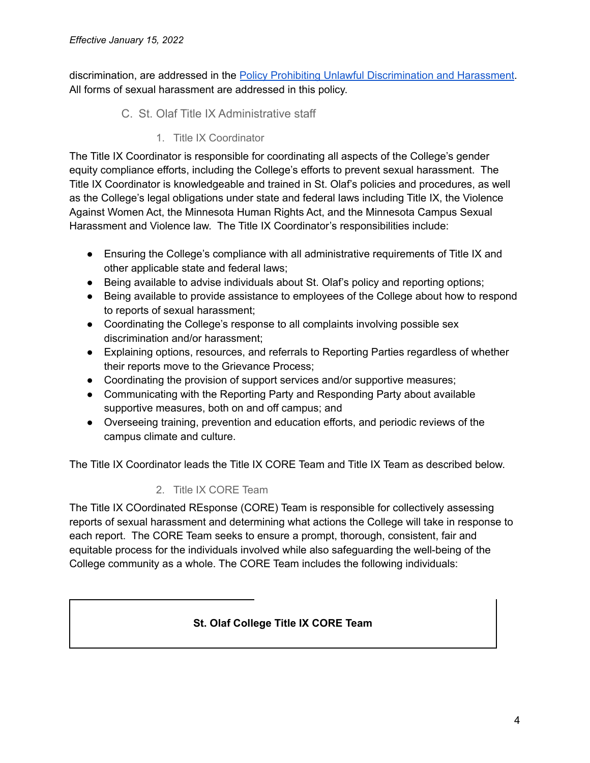<span id="page-3-0"></span>discrimination, are addressed in the Policy Prohibiting Unlawful [Discrimination](https://wp.stolaf.edu/equity-inclusion/policy/) and Harassment. All forms of sexual harassment are addressed in this policy.

- C. St. Olaf Title IX Administrative staff
	- 1. Title IX Coordinator

<span id="page-3-1"></span>The Title IX Coordinator is responsible for coordinating all aspects of the College's gender equity compliance efforts, including the College's efforts to prevent sexual harassment. The Title IX Coordinator is knowledgeable and trained in St. Olaf's policies and procedures, as well as the College's legal obligations under state and federal laws including Title IX, the Violence Against Women Act, the Minnesota Human Rights Act, and the Minnesota Campus Sexual Harassment and Violence law. The Title IX Coordinator's responsibilities include:

- Ensuring the College's compliance with all administrative requirements of Title IX and other applicable state and federal laws;
- Being available to advise individuals about St. Olaf's policy and reporting options;
- Being available to provide assistance to employees of the College about how to respond to reports of sexual harassment;
- Coordinating the College's response to all complaints involving possible sex discrimination and/or harassment;
- Explaining options, resources, and referrals to Reporting Parties regardless of whether their reports move to the Grievance Process;
- Coordinating the provision of support services and/or supportive measures;
- Communicating with the Reporting Party and Responding Party about available supportive measures, both on and off campus; and
- Overseeing training, prevention and education efforts, and periodic reviews of the campus climate and culture.

<span id="page-3-2"></span>The Title IX Coordinator leads the Title IX CORE Team and Title IX Team as described below.

# 2. Title IX CORE Team

The Title IX COordinated REsponse (CORE) Team is responsible for collectively assessing reports of sexual harassment and determining what actions the College will take in response to each report. The CORE Team seeks to ensure a prompt, thorough, consistent, fair and equitable process for the individuals involved while also safeguarding the well-being of the College community as a whole. The CORE Team includes the following individuals:

# **St. Olaf College Title IX CORE Team**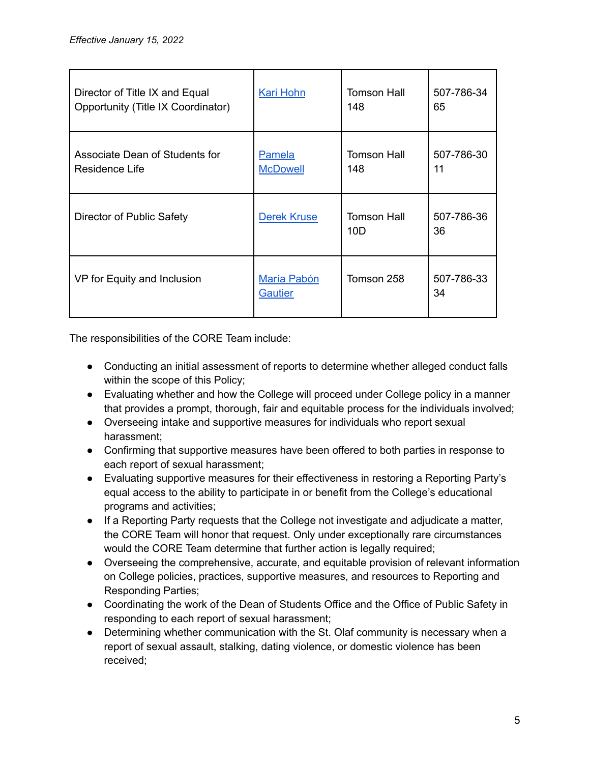| Director of Title IX and Equal     | <b>Kari Hohn</b>              | Tomson Hall                           | 507-786-34       |
|------------------------------------|-------------------------------|---------------------------------------|------------------|
| Opportunity (Title IX Coordinator) |                               | 148                                   | 65               |
| Associate Dean of Students for     | <b>Pamela</b>                 | Tomson Hall                           | 507-786-30       |
| Residence Life                     | <b>McDowell</b>               | 148                                   | 11               |
| Director of Public Safety          | <b>Derek Kruse</b>            | <b>Tomson Hall</b><br>10 <sub>D</sub> | 507-786-36<br>36 |
| VP for Equity and Inclusion        | María Pabón<br><b>Gautier</b> | Tomson 258                            | 507-786-33<br>34 |

The responsibilities of the CORE Team include:

- Conducting an initial assessment of reports to determine whether alleged conduct falls within the scope of this Policy;
- Evaluating whether and how the College will proceed under College policy in a manner that provides a prompt, thorough, fair and equitable process for the individuals involved;
- Overseeing intake and supportive measures for individuals who report sexual harassment;
- Confirming that supportive measures have been offered to both parties in response to each report of sexual harassment;
- Evaluating supportive measures for their effectiveness in restoring a Reporting Party's equal access to the ability to participate in or benefit from the College's educational programs and activities;
- If a Reporting Party requests that the College not investigate and adjudicate a matter, the CORE Team will honor that request. Only under exceptionally rare circumstances would the CORE Team determine that further action is legally required;
- Overseeing the comprehensive, accurate, and equitable provision of relevant information on College policies, practices, supportive measures, and resources to Reporting and Responding Parties;
- Coordinating the work of the Dean of Students Office and the Office of Public Safety in responding to each report of sexual harassment;
- Determining whether communication with the St. Olaf community is necessary when a report of sexual assault, stalking, dating violence, or domestic violence has been received;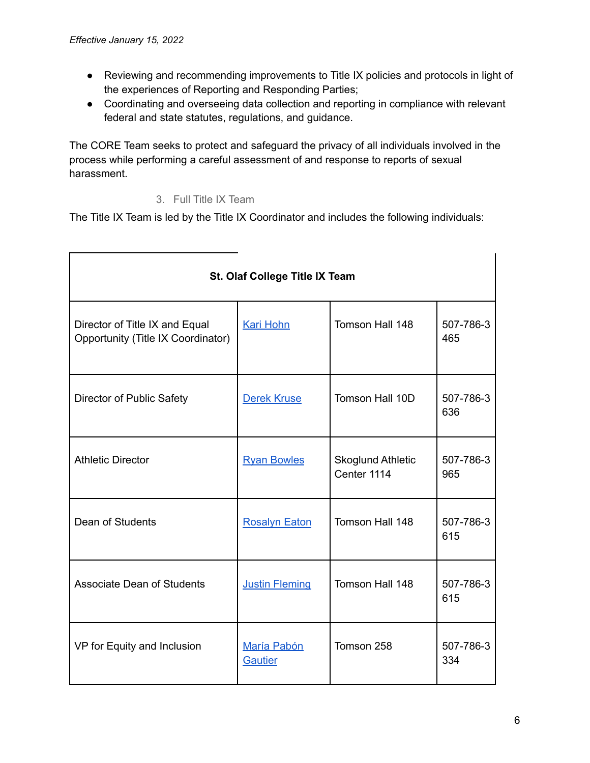- Reviewing and recommending improvements to Title IX policies and protocols in light of the experiences of Reporting and Responding Parties;
- Coordinating and overseeing data collection and reporting in compliance with relevant federal and state statutes, regulations, and guidance.

The CORE Team seeks to protect and safeguard the privacy of all individuals involved in the process while performing a careful assessment of and response to reports of sexual harassment.

3. Full Title IX Team

<span id="page-5-0"></span>The Title IX Team is led by the Title IX Coordinator and includes the following individuals:

| St. Olaf College Title IX Team                                       |                        |                                         |                  |  |  |
|----------------------------------------------------------------------|------------------------|-----------------------------------------|------------------|--|--|
| Director of Title IX and Equal<br>Opportunity (Title IX Coordinator) | <b>Kari Hohn</b>       | Tomson Hall 148                         | 507-786-3<br>465 |  |  |
| Director of Public Safety                                            | Derek Kruse            | Tomson Hall 10D<br>507-786-3<br>636     |                  |  |  |
| <b>Athletic Director</b>                                             | <b>Ryan Bowles</b>     | <b>Skoglund Athletic</b><br>Center 1114 | 507-786-3<br>965 |  |  |
| Dean of Students                                                     | <b>Rosalyn Eaton</b>   | Tomson Hall 148<br>507-786-3<br>615     |                  |  |  |
| Associate Dean of Students                                           | <b>Justin Fleming</b>  | Tomson Hall 148<br>507-786-3<br>615     |                  |  |  |
| VP for Equity and Inclusion                                          | María Pabón<br>Gautier | Tomson 258                              | 507-786-3<br>334 |  |  |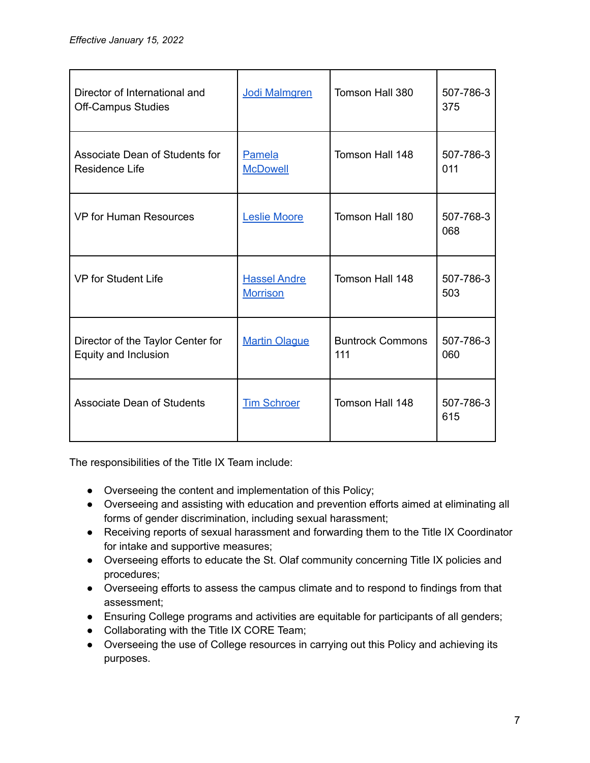| Director of International and<br><b>Off-Campus Studies</b> | Jodi Malmgren                          | Tomson Hall 380                | 507-786-3<br>375 |
|------------------------------------------------------------|----------------------------------------|--------------------------------|------------------|
| Associate Dean of Students for<br>Residence Life           | Pamela<br><b>McDowell</b>              | Tomson Hall 148                | 507-786-3<br>011 |
| <b>VP for Human Resources</b>                              | <b>Leslie Moore</b>                    | Tomson Hall 180                | 507-768-3<br>068 |
| <b>VP</b> for Student Life                                 | <b>Hassel Andre</b><br><b>Morrison</b> | Tomson Hall 148                | 507-786-3<br>503 |
| Director of the Taylor Center for<br>Equity and Inclusion  | <b>Martin Olague</b>                   | <b>Buntrock Commons</b><br>111 | 507-786-3<br>060 |
| <b>Associate Dean of Students</b>                          | <b>Tim Schroer</b>                     | Tomson Hall 148                | 507-786-3<br>615 |

The responsibilities of the Title IX Team include:

- Overseeing the content and implementation of this Policy;
- Overseeing and assisting with education and prevention efforts aimed at eliminating all forms of gender discrimination, including sexual harassment;
- Receiving reports of sexual harassment and forwarding them to the Title IX Coordinator for intake and supportive measures;
- Overseeing efforts to educate the St. Olaf community concerning Title IX policies and procedures;
- Overseeing efforts to assess the campus climate and to respond to findings from that assessment;
- Ensuring College programs and activities are equitable for participants of all genders;
- Collaborating with the Title IX CORE Team;
- Overseeing the use of College resources in carrying out this Policy and achieving its purposes.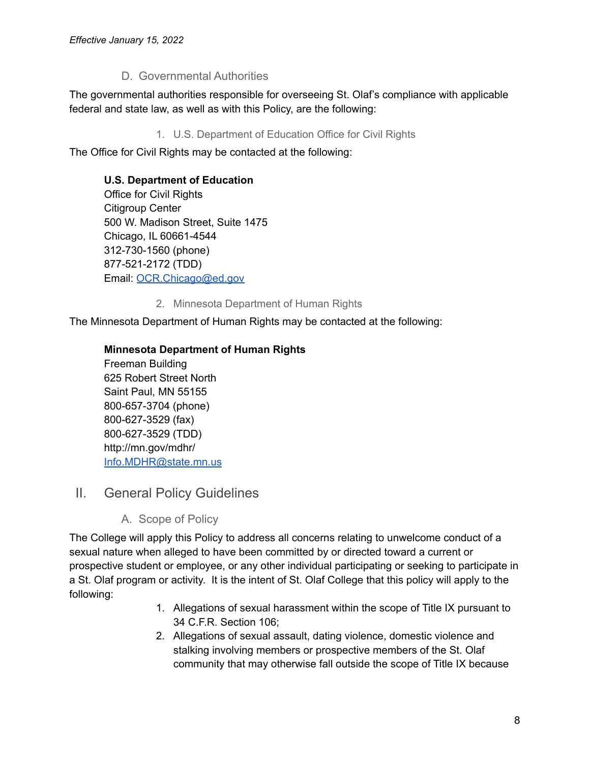# D. Governmental Authorities

<span id="page-7-1"></span><span id="page-7-0"></span>The governmental authorities responsible for overseeing St. Olaf's compliance with applicable federal and state law, as well as with this Policy, are the following:

1. U.S. Department of Education Office for Civil Rights

The Office for Civil Rights may be contacted at the following:

## **U.S. Department of Education**

Office for Civil Rights Citigroup Center 500 W. Madison Street, Suite 1475 Chicago, IL 60661-4544 312-730-1560 (phone) 877-521-2172 (TDD) Email: [OCR.Chicago@ed.gov](mailto:OCR.Chicago@ed.gov)

2. Minnesota Department of Human Rights

<span id="page-7-2"></span>The Minnesota Department of Human Rights may be contacted at the following:

### **Minnesota Department of Human Rights**

Freeman Building 625 Robert Street North Saint Paul, MN 55155 800-657-3704 (phone) 800-627-3529 (fax) 800-627-3529 (TDD) http://mn.gov/mdhr/ [Info.MDHR@state.mn.us](mailto:Info.MDHR@state.mn.us)

# <span id="page-7-4"></span><span id="page-7-3"></span>II. General Policy Guidelines

A. Scope of Policy

The College will apply this Policy to address all concerns relating to unwelcome conduct of a sexual nature when alleged to have been committed by or directed toward a current or prospective student or employee, or any other individual participating or seeking to participate in a St. Olaf program or activity. It is the intent of St. Olaf College that this policy will apply to the following:

- 1. Allegations of sexual harassment within the scope of Title IX pursuant to 34 C.F.R. Section 106;
- 2. Allegations of sexual assault, dating violence, domestic violence and stalking involving members or prospective members of the St. Olaf community that may otherwise fall outside the scope of Title IX because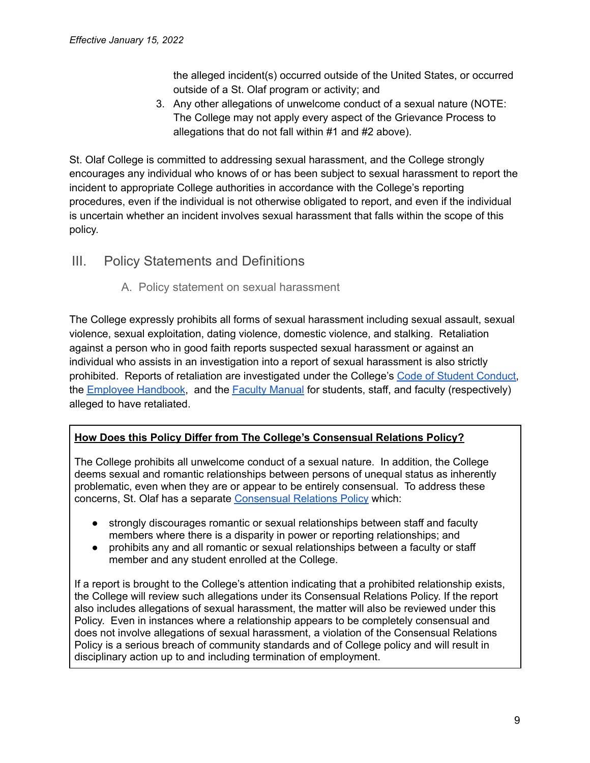the alleged incident(s) occurred outside of the United States, or occurred outside of a St. Olaf program or activity; and

3. Any other allegations of unwelcome conduct of a sexual nature (NOTE: The College may not apply every aspect of the Grievance Process to allegations that do not fall within #1 and #2 above).

St. Olaf College is committed to addressing sexual harassment, and the College strongly encourages any individual who knows of or has been subject to sexual harassment to report the incident to appropriate College authorities in accordance with the College's reporting procedures, even if the individual is not otherwise obligated to report, and even if the individual is uncertain whether an incident involves sexual harassment that falls within the scope of this policy.

# <span id="page-8-1"></span><span id="page-8-0"></span>III. Policy Statements and Definitions

# A. Policy statement on sexual harassment

The College expressly prohibits all forms of sexual harassment including sexual assault, sexual violence, sexual exploitation, dating violence, domestic violence, and stalking. Retaliation against a person who in good faith reports suspected sexual harassment or against an individual who assists in an investigation into a report of sexual harassment is also strictly prohibited. Reports of retaliation are investigated under the College's Code of Student [Conduct,](https://wp.stolaf.edu/thebook/code-of-conduct/) the **Employee [Handbook](https://wp.stolaf.edu/hr?gfid=846), and the Faculty [Manual](https://wp.stolaf.edu/doc/faculty-manual/) for students, staff, and faculty (respectively)** alleged to have retaliated.

# **How Does this Policy Differ from The College's Consensual Relations Policy?**

The College prohibits all unwelcome conduct of a sexual nature. In addition, the College deems sexual and romantic relationships between persons of unequal status as inherently problematic, even when they are or appear to be entirely consensual. To address these concerns, St. Olaf has a separate [Consensual](https://wp.stolaf.edu/facultyhandbook/consensual-relations-policy/) Relations Policy which:

- strongly discourages romantic or sexual relationships between staff and faculty members where there is a disparity in power or reporting relationships; and
- prohibits any and all romantic or sexual relationships between a faculty or staff member and any student enrolled at the College.

If a report is brought to the College's attention indicating that a prohibited relationship exists, the College will review such allegations under its Consensual Relations Policy. If the report also includes allegations of sexual harassment, the matter will also be reviewed under this Policy. Even in instances where a relationship appears to be completely consensual and does not involve allegations of sexual harassment, a violation of the Consensual Relations Policy is a serious breach of community standards and of College policy and will result in disciplinary action up to and including termination of employment.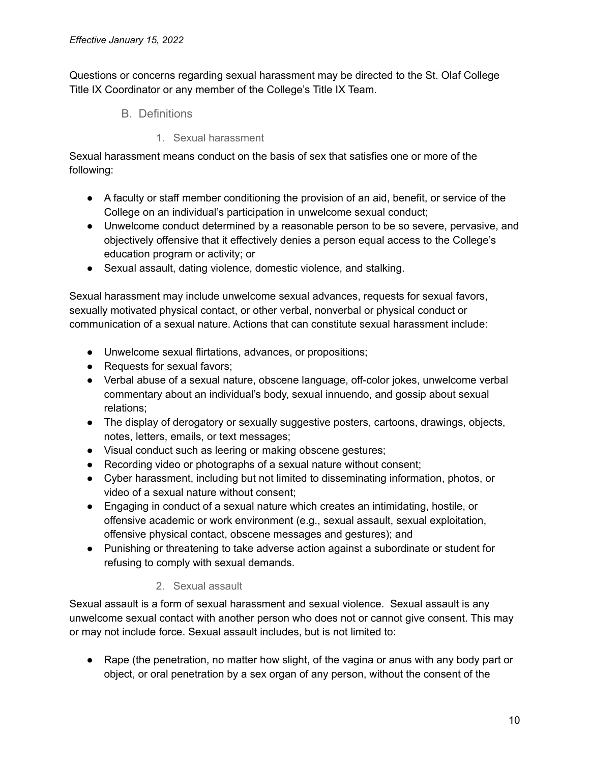<span id="page-9-0"></span>Questions or concerns regarding sexual harassment may be directed to the St. Olaf College Title IX Coordinator or any member of the College's Title IX Team.

- B. Definitions
	- 1. Sexual harassment

<span id="page-9-1"></span>Sexual harassment means conduct on the basis of sex that satisfies one or more of the following:

- A faculty or staff member conditioning the provision of an aid, benefit, or service of the College on an individual's participation in unwelcome sexual conduct;
- Unwelcome conduct determined by a reasonable person to be so severe, pervasive, and objectively offensive that it effectively denies a person equal access to the College's education program or activity; or
- Sexual assault, dating violence, domestic violence, and stalking.

Sexual harassment may include unwelcome sexual advances, requests for sexual favors, sexually motivated physical contact, or other verbal, nonverbal or physical conduct or communication of a sexual nature. Actions that can constitute sexual harassment include:

- Unwelcome sexual flirtations, advances, or propositions;
- Requests for sexual favors;
- Verbal abuse of a sexual nature, obscene language, off-color jokes, unwelcome verbal commentary about an individual's body, sexual innuendo, and gossip about sexual relations;
- The display of derogatory or sexually suggestive posters, cartoons, drawings, objects, notes, letters, emails, or text messages;
- Visual conduct such as leering or making obscene gestures;
- Recording video or photographs of a sexual nature without consent;
- Cyber harassment, including but not limited to disseminating information, photos, or video of a sexual nature without consent;
- Engaging in conduct of a sexual nature which creates an intimidating, hostile, or offensive academic or work environment (e.g., sexual assault, sexual exploitation, offensive physical contact, obscene messages and gestures); and
- Punishing or threatening to take adverse action against a subordinate or student for refusing to comply with sexual demands.

# 2. Sexual assault

<span id="page-9-2"></span>Sexual assault is a form of sexual harassment and sexual violence. Sexual assault is any unwelcome sexual contact with another person who does not or cannot give consent. This may or may not include force. Sexual assault includes, but is not limited to:

● Rape (the penetration, no matter how slight, of the vagina or anus with any body part or object, or oral penetration by a sex organ of any person, without the consent of the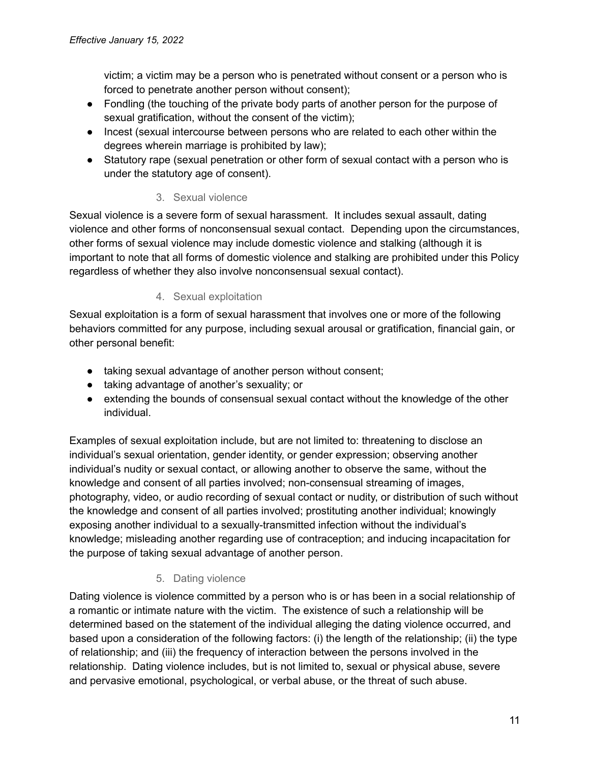victim; a victim may be a person who is penetrated without consent or a person who is forced to penetrate another person without consent);

- Fondling (the touching of the private body parts of another person for the purpose of sexual gratification, without the consent of the victim);
- Incest (sexual intercourse between persons who are related to each other within the degrees wherein marriage is prohibited by law);
- Statutory rape (sexual penetration or other form of sexual contact with a person who is under the statutory age of consent).

# 3. Sexual violence

<span id="page-10-0"></span>Sexual violence is a severe form of sexual harassment. It includes sexual assault, dating violence and other forms of nonconsensual sexual contact. Depending upon the circumstances, other forms of sexual violence may include domestic violence and stalking (although it is important to note that all forms of domestic violence and stalking are prohibited under this Policy regardless of whether they also involve nonconsensual sexual contact).

# 4. Sexual exploitation

<span id="page-10-1"></span>Sexual exploitation is a form of sexual harassment that involves one or more of the following behaviors committed for any purpose, including sexual arousal or gratification, financial gain, or other personal benefit:

- taking sexual advantage of another person without consent;
- taking advantage of another's sexuality; or
- extending the bounds of consensual sexual contact without the knowledge of the other individual.

Examples of sexual exploitation include, but are not limited to: threatening to disclose an individual's sexual orientation, gender identity, or gender expression; observing another individual's nudity or sexual contact, or allowing another to observe the same, without the knowledge and consent of all parties involved; non-consensual streaming of images, photography, video, or audio recording of sexual contact or nudity, or distribution of such without the knowledge and consent of all parties involved; prostituting another individual; knowingly exposing another individual to a sexually-transmitted infection without the individual's knowledge; misleading another regarding use of contraception; and inducing incapacitation for the purpose of taking sexual advantage of another person.

# 5. Dating violence

<span id="page-10-2"></span>Dating violence is violence committed by a person who is or has been in a social relationship of a romantic or intimate nature with the victim. The existence of such a relationship will be determined based on the statement of the individual alleging the dating violence occurred, and based upon a consideration of the following factors: (i) the length of the relationship; (ii) the type of relationship; and (iii) the frequency of interaction between the persons involved in the relationship. Dating violence includes, but is not limited to, sexual or physical abuse, severe and pervasive emotional, psychological, or verbal abuse, or the threat of such abuse.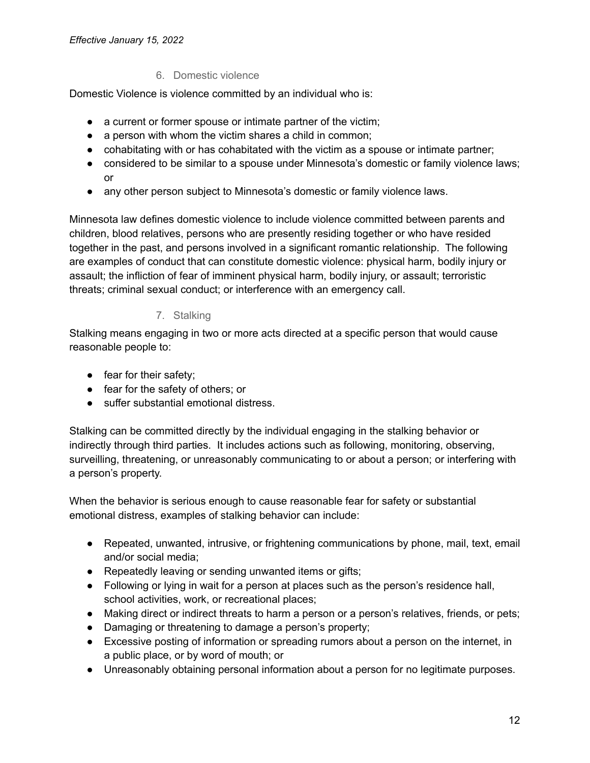### 6. Domestic violence

<span id="page-11-0"></span>Domestic Violence is violence committed by an individual who is:

- a current or former spouse or intimate partner of the victim;
- a person with whom the victim shares a child in common;
- cohabitating with or has cohabitated with the victim as a spouse or intimate partner;
- considered to be similar to a spouse under Minnesota's domestic or family violence laws; or
- any other person subject to Minnesota's domestic or family violence laws.

Minnesota law defines domestic violence to include violence committed between parents and children, blood relatives, persons who are presently residing together or who have resided together in the past, and persons involved in a significant romantic relationship. The following are examples of conduct that can constitute domestic violence: physical harm, bodily injury or assault; the infliction of fear of imminent physical harm, bodily injury, or assault; terroristic threats; criminal sexual conduct; or interference with an emergency call.

### 7. Stalking

<span id="page-11-1"></span>Stalking means engaging in two or more acts directed at a specific person that would cause reasonable people to:

- fear for their safety;
- fear for the safety of others; or
- suffer substantial emotional distress.

Stalking can be committed directly by the individual engaging in the stalking behavior or indirectly through third parties. It includes actions such as following, monitoring, observing, surveilling, threatening, or unreasonably communicating to or about a person; or interfering with a person's property.

When the behavior is serious enough to cause reasonable fear for safety or substantial emotional distress, examples of stalking behavior can include:

- Repeated, unwanted, intrusive, or frightening communications by phone, mail, text, email and/or social media;
- Repeatedly leaving or sending unwanted items or gifts;
- Following or lying in wait for a person at places such as the person's residence hall, school activities, work, or recreational places;
- Making direct or indirect threats to harm a person or a person's relatives, friends, or pets;
- Damaging or threatening to damage a person's property;
- Excessive posting of information or spreading rumors about a person on the internet, in a public place, or by word of mouth; or
- Unreasonably obtaining personal information about a person for no legitimate purposes.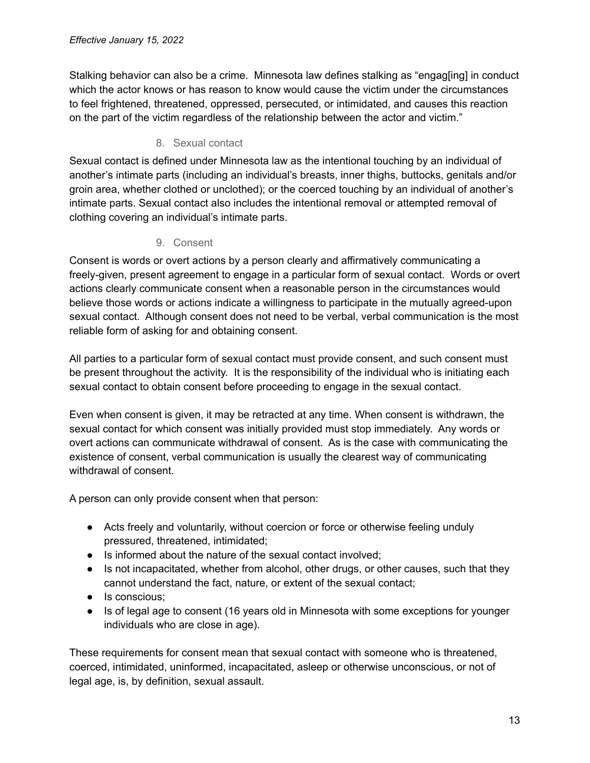Stalking behavior can also be a crime. Minnesota law defines stalking as "engag[ing] in conduct which the actor knows or has reason to know would cause the victim under the circumstances to feel frightened, threatened, oppressed, persecuted, or intimidated, and causes this reaction on the part of the victim regardless of the relationship between the actor and victim."

#### 8. Sexual contact

<span id="page-12-0"></span>Sexual contact is defined under Minnesota law as the intentional touching by an individual of another's intimate parts (including an individual's breasts, inner thighs, buttocks, genitals and/or groin area, whether clothed or unclothed); or the coerced touching by an individual of another's intimate parts. Sexual contact also includes the intentional removal or attempted removal of clothing covering an individual's intimate parts.

#### 9. Consent

<span id="page-12-1"></span>Consent is words or overt actions by a person clearly and affirmatively communicating a freely-given, present agreement to engage in a particular form of sexual contact. Words or overt actions clearly communicate consent when a reasonable person in the circumstances would believe those words or actions indicate a willingness to participate in the mutually agreed-upon sexual contact. Although consent does not need to be verbal, verbal communication is the most reliable form of asking for and obtaining consent.

All parties to a particular form of sexual contact must provide consent, and such consent must be present throughout the activity. It is the responsibility of the individual who is initiating each sexual contact to obtain consent before proceeding to engage in the sexual contact.

Even when consent is given, it may be retracted at any time. When consent is withdrawn, the sexual contact for which consent was initially provided must stop immediately. Any words or overt actions can communicate withdrawal of consent. As is the case with communicating the existence of consent, verbal communication is usually the clearest way of communicating withdrawal of consent.

A person can only provide consent when that person:

- Acts freely and voluntarily, without coercion or force or otherwise feeling unduly pressured, threatened, intimidated;
- Is informed about the nature of the sexual contact involved;
- Is not incapacitated, whether from alcohol, other drugs, or other causes, such that they cannot understand the fact, nature, or extent of the sexual contact;
- Is conscious;
- Is of legal age to consent (16 years old in Minnesota with some exceptions for younger individuals who are close in age).

These requirements for consent mean that sexual contact with someone who is threatened, coerced, intimidated, uninformed, incapacitated, asleep or otherwise unconscious, or not of legal age, is, by definition, sexual assault.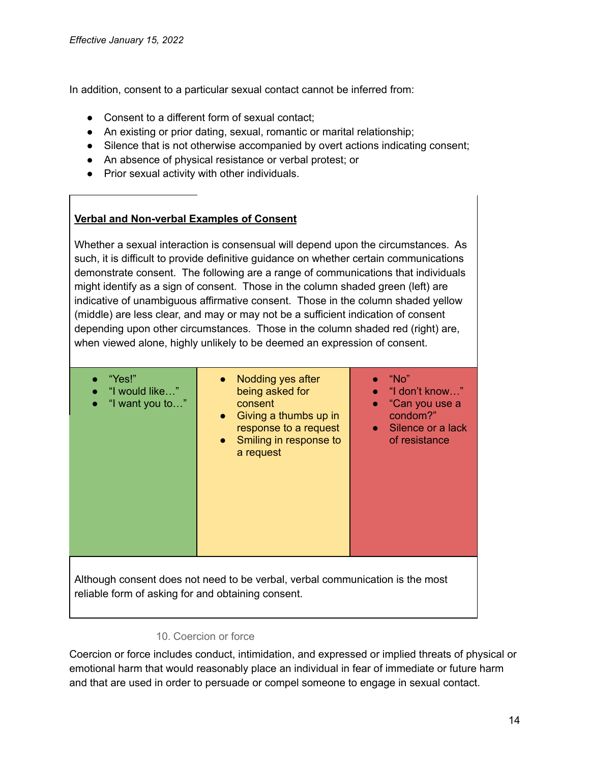In addition, consent to a particular sexual contact cannot be inferred from:

- Consent to a different form of sexual contact:
- An existing or prior dating, sexual, romantic or marital relationship;
- Silence that is not otherwise accompanied by overt actions indicating consent;
- An absence of physical resistance or verbal protest; or
- Prior sexual activity with other individuals.

# **Verbal and Non-verbal Examples of Consent**

Whether a sexual interaction is consensual will depend upon the circumstances. As such, it is difficult to provide definitive guidance on whether certain communications demonstrate consent. The following are a range of communications that individuals might identify as a sign of consent. Those in the column shaded green (left) are indicative of unambiguous affirmative consent. Those in the column shaded yellow (middle) are less clear, and may or may not be a sufficient indication of consent depending upon other circumstances. Those in the column shaded red (right) are, when viewed alone, highly unlikely to be deemed an expression of consent.

| "Yes!"<br>$\bullet$<br>"I would like"<br>"I want you to"<br>$\bullet$                                                               | Nodding yes after<br>being asked for<br>consent<br>Giving a thumbs up in<br>$\bullet$<br>response to a request<br>Smiling in response to<br>$\bullet$<br>a request | "No"<br>$\bullet$ "I don't know"<br>"Can you use a<br>$\bullet$<br>condom?"<br>• Silence or a lack<br>of resistance |  |  |
|-------------------------------------------------------------------------------------------------------------------------------------|--------------------------------------------------------------------------------------------------------------------------------------------------------------------|---------------------------------------------------------------------------------------------------------------------|--|--|
| Although consent does not need to be verbal, verbal communication is the most<br>reliable form of asking for and obtaining consent. |                                                                                                                                                                    |                                                                                                                     |  |  |

#### 10. Coercion or force

<span id="page-13-0"></span>Coercion or force includes conduct, intimidation, and expressed or implied threats of physical or emotional harm that would reasonably place an individual in fear of immediate or future harm and that are used in order to persuade or compel someone to engage in sexual contact.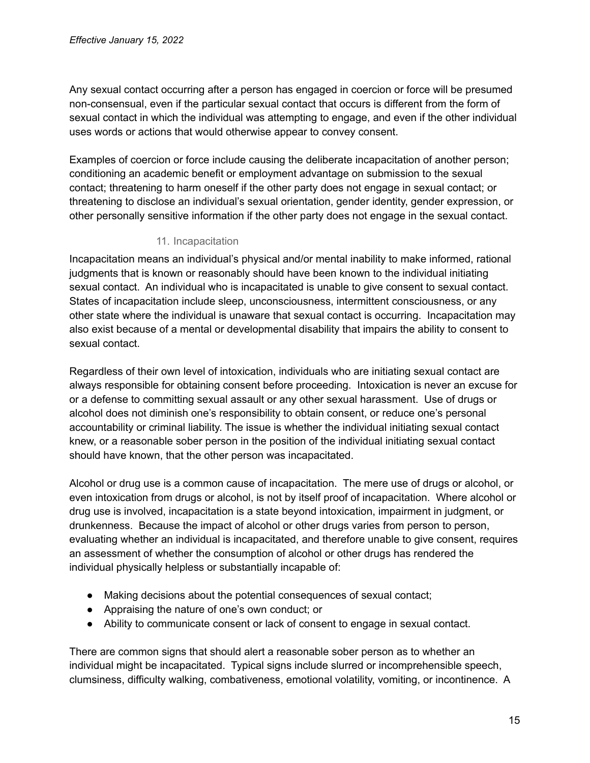Any sexual contact occurring after a person has engaged in coercion or force will be presumed non-consensual, even if the particular sexual contact that occurs is different from the form of sexual contact in which the individual was attempting to engage, and even if the other individual uses words or actions that would otherwise appear to convey consent.

Examples of coercion or force include causing the deliberate incapacitation of another person; conditioning an academic benefit or employment advantage on submission to the sexual contact; threatening to harm oneself if the other party does not engage in sexual contact; or threatening to disclose an individual's sexual orientation, gender identity, gender expression, or other personally sensitive information if the other party does not engage in the sexual contact.

#### 11. Incapacitation

<span id="page-14-0"></span>Incapacitation means an individual's physical and/or mental inability to make informed, rational judgments that is known or reasonably should have been known to the individual initiating sexual contact. An individual who is incapacitated is unable to give consent to sexual contact. States of incapacitation include sleep, unconsciousness, intermittent consciousness, or any other state where the individual is unaware that sexual contact is occurring. Incapacitation may also exist because of a mental or developmental disability that impairs the ability to consent to sexual contact.

Regardless of their own level of intoxication, individuals who are initiating sexual contact are always responsible for obtaining consent before proceeding. Intoxication is never an excuse for or a defense to committing sexual assault or any other sexual harassment. Use of drugs or alcohol does not diminish one's responsibility to obtain consent, or reduce one's personal accountability or criminal liability. The issue is whether the individual initiating sexual contact knew, or a reasonable sober person in the position of the individual initiating sexual contact should have known, that the other person was incapacitated.

Alcohol or drug use is a common cause of incapacitation. The mere use of drugs or alcohol, or even intoxication from drugs or alcohol, is not by itself proof of incapacitation. Where alcohol or drug use is involved, incapacitation is a state beyond intoxication, impairment in judgment, or drunkenness. Because the impact of alcohol or other drugs varies from person to person, evaluating whether an individual is incapacitated, and therefore unable to give consent, requires an assessment of whether the consumption of alcohol or other drugs has rendered the individual physically helpless or substantially incapable of:

- Making decisions about the potential consequences of sexual contact;
- Appraising the nature of one's own conduct; or
- Ability to communicate consent or lack of consent to engage in sexual contact.

There are common signs that should alert a reasonable sober person as to whether an individual might be incapacitated. Typical signs include slurred or incomprehensible speech, clumsiness, difficulty walking, combativeness, emotional volatility, vomiting, or incontinence. A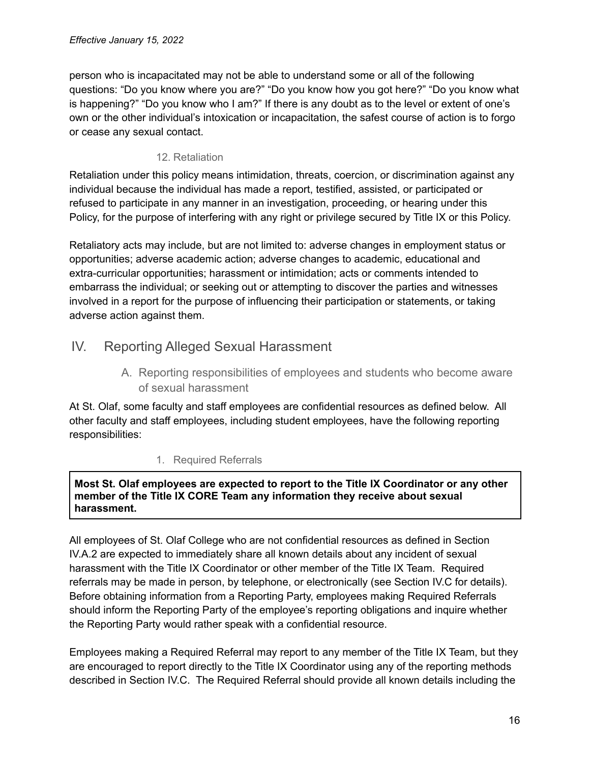person who is incapacitated may not be able to understand some or all of the following questions: "Do you know where you are?" "Do you know how you got here?" "Do you know what is happening?" "Do you know who I am?" If there is any doubt as to the level or extent of one's own or the other individual's intoxication or incapacitation, the safest course of action is to forgo or cease any sexual contact.

## 12. Retaliation

<span id="page-15-0"></span>Retaliation under this policy means intimidation, threats, coercion, or discrimination against any individual because the individual has made a report, testified, assisted, or participated or refused to participate in any manner in an investigation, proceeding, or hearing under this Policy, for the purpose of interfering with any right or privilege secured by Title IX or this Policy.

Retaliatory acts may include, but are not limited to: adverse changes in employment status or opportunities; adverse academic action; adverse changes to academic, educational and extra-curricular opportunities; harassment or intimidation; acts or comments intended to embarrass the individual; or seeking out or attempting to discover the parties and witnesses involved in a report for the purpose of influencing their participation or statements, or taking adverse action against them.

# <span id="page-15-1"></span>IV. Reporting Alleged Sexual Harassment

A. Reporting responsibilities of employees and students who become aware of sexual harassment

<span id="page-15-2"></span>At St. Olaf, some faculty and staff employees are confidential resources as defined below. All other faculty and staff employees, including student employees, have the following reporting responsibilities:

# 1. Required Referrals

#### <span id="page-15-3"></span>**Most St. Olaf employees are expected to report to the Title IX Coordinator or any other member of the Title IX CORE Team any information they receive about sexual harassment.**

All employees of St. Olaf College who are not confidential resources as defined in Section IV.A.2 are expected to immediately share all known details about any incident of sexual harassment with the Title IX Coordinator or other member of the Title IX Team. Required referrals may be made in person, by telephone, or electronically (see Section IV.C for details). Before obtaining information from a Reporting Party, employees making Required Referrals should inform the Reporting Party of the employee's reporting obligations and inquire whether the Reporting Party would rather speak with a confidential resource.

Employees making a Required Referral may report to any member of the Title IX Team, but they are encouraged to report directly to the Title IX Coordinator using any of the reporting methods described in Section IV.C. The Required Referral should provide all known details including the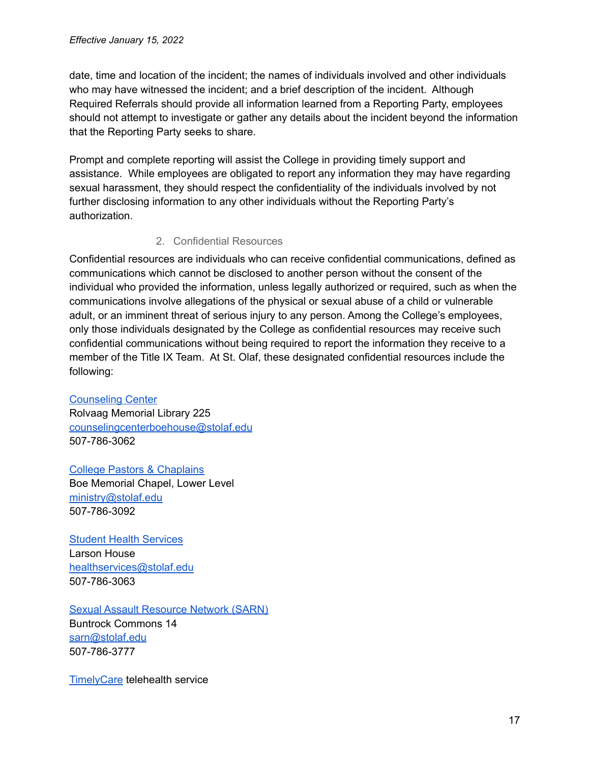date, time and location of the incident; the names of individuals involved and other individuals who may have witnessed the incident; and a brief description of the incident. Although Required Referrals should provide all information learned from a Reporting Party, employees should not attempt to investigate or gather any details about the incident beyond the information that the Reporting Party seeks to share.

Prompt and complete reporting will assist the College in providing timely support and assistance. While employees are obligated to report any information they may have regarding sexual harassment, they should respect the confidentiality of the individuals involved by not further disclosing information to any other individuals without the Reporting Party's authorization.

#### 2. Confidential Resources

<span id="page-16-0"></span>Confidential resources are individuals who can receive confidential communications, defined as communications which cannot be disclosed to another person without the consent of the individual who provided the information, unless legally authorized or required, such as when the communications involve allegations of the physical or sexual abuse of a child or vulnerable adult, or an imminent threat of serious injury to any person. Among the College's employees, only those individuals designated by the College as confidential resources may receive such confidential communications without being required to report the information they receive to a member of the Title IX Team. At St. Olaf, these designated confidential resources include the following:

[Counseling](https://wp.stolaf.edu/counseling-center/) Center Rolvaag Memorial Library 225 [counselingcenterboehouse@stolaf.edu](mailto:counselingcenterboehouse@stolaf.edu) 507-786-3062

College Pastors & [Chaplains](https://wp.stolaf.edu/ministry/staff/) Boe Memorial Chapel, Lower Level [ministry@stolaf.edu](mailto:ministry@stolaf.edu) 507-786-3092

Student Health [Services](https://wp.stolaf.edu/health/) Larson House [healthservices@stolaf.edu](mailto:healthservices@stolaf.edu) 507-786-3063

Sexual Assault [Resource](https://pages.stolaf.edu/sarn/) Network (SARN)

Buntrock Commons 14 [sarn@stolaf.edu](mailto:sarn@stolaf.edu) 507-786-3777

[TimelyCare](https://wp.stolaf.edu/wellness/timelycare/) telehealth service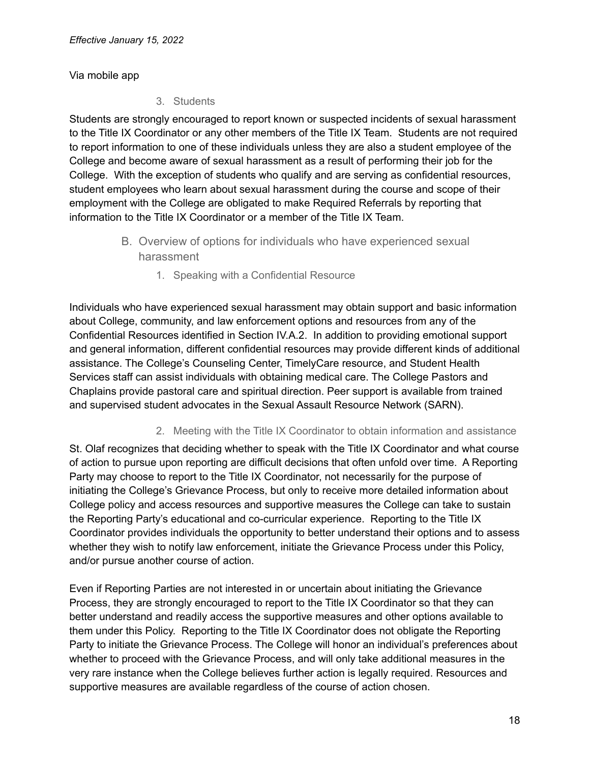<span id="page-17-0"></span>Via mobile app

3. Students

Students are strongly encouraged to report known or suspected incidents of sexual harassment to the Title IX Coordinator or any other members of the Title IX Team. Students are not required to report information to one of these individuals unless they are also a student employee of the College and become aware of sexual harassment as a result of performing their job for the College. With the exception of students who qualify and are serving as confidential resources, student employees who learn about sexual harassment during the course and scope of their employment with the College are obligated to make Required Referrals by reporting that information to the Title IX Coordinator or a member of the Title IX Team.

- B. Overview of options for individuals who have experienced sexual harassment
	- 1. Speaking with a Confidential Resource

<span id="page-17-2"></span><span id="page-17-1"></span>Individuals who have experienced sexual harassment may obtain support and basic information about College, community, and law enforcement options and resources from any of the Confidential Resources identified in Section IV.A.2. In addition to providing emotional support and general information, different confidential resources may provide different kinds of additional assistance. The College's Counseling Center, TimelyCare resource, and Student Health Services staff can assist individuals with obtaining medical care. The College Pastors and Chaplains provide pastoral care and spiritual direction. Peer support is available from trained and supervised student advocates in the Sexual Assault Resource Network (SARN).

2. Meeting with the Title IX Coordinator to obtain information and assistance

<span id="page-17-3"></span>St. Olaf recognizes that deciding whether to speak with the Title IX Coordinator and what course of action to pursue upon reporting are difficult decisions that often unfold over time. A Reporting Party may choose to report to the Title IX Coordinator, not necessarily for the purpose of initiating the College's Grievance Process, but only to receive more detailed information about College policy and access resources and supportive measures the College can take to sustain the Reporting Party's educational and co-curricular experience. Reporting to the Title IX Coordinator provides individuals the opportunity to better understand their options and to assess whether they wish to notify law enforcement, initiate the Grievance Process under this Policy, and/or pursue another course of action.

Even if Reporting Parties are not interested in or uncertain about initiating the Grievance Process, they are strongly encouraged to report to the Title IX Coordinator so that they can better understand and readily access the supportive measures and other options available to them under this Policy. Reporting to the Title IX Coordinator does not obligate the Reporting Party to initiate the Grievance Process. The College will honor an individual's preferences about whether to proceed with the Grievance Process, and will only take additional measures in the very rare instance when the College believes further action is legally required. Resources and supportive measures are available regardless of the course of action chosen.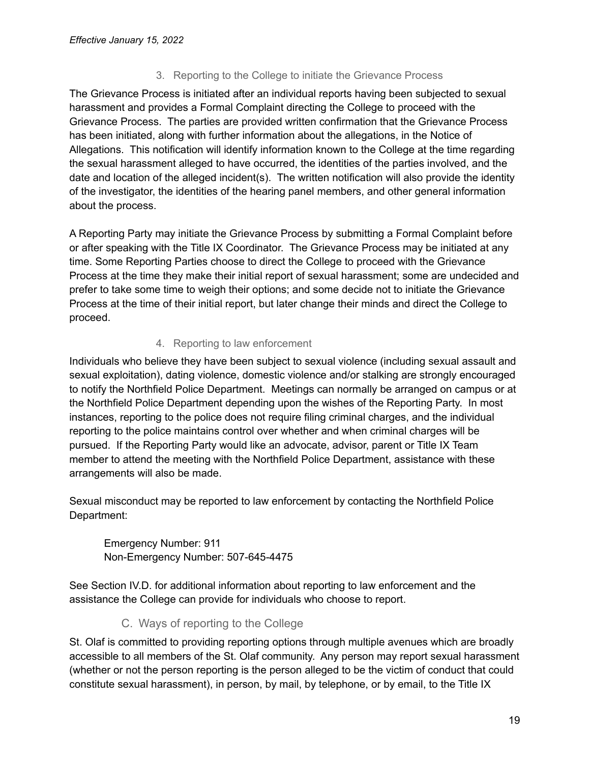### 3. Reporting to the College to initiate the Grievance Process

<span id="page-18-0"></span>The Grievance Process is initiated after an individual reports having been subjected to sexual harassment and provides a Formal Complaint directing the College to proceed with the Grievance Process. The parties are provided written confirmation that the Grievance Process has been initiated, along with further information about the allegations, in the Notice of Allegations. This notification will identify information known to the College at the time regarding the sexual harassment alleged to have occurred, the identities of the parties involved, and the date and location of the alleged incident(s). The written notification will also provide the identity of the investigator, the identities of the hearing panel members, and other general information about the process.

A Reporting Party may initiate the Grievance Process by submitting a Formal Complaint before or after speaking with the Title IX Coordinator. The Grievance Process may be initiated at any time. Some Reporting Parties choose to direct the College to proceed with the Grievance Process at the time they make their initial report of sexual harassment; some are undecided and prefer to take some time to weigh their options; and some decide not to initiate the Grievance Process at the time of their initial report, but later change their minds and direct the College to proceed.

# 4. Reporting to law enforcement

<span id="page-18-1"></span>Individuals who believe they have been subject to sexual violence (including sexual assault and sexual exploitation), dating violence, domestic violence and/or stalking are strongly encouraged to notify the Northfield Police Department. Meetings can normally be arranged on campus or at the Northfield Police Department depending upon the wishes of the Reporting Party. In most instances, reporting to the police does not require filing criminal charges, and the individual reporting to the police maintains control over whether and when criminal charges will be pursued. If the Reporting Party would like an advocate, advisor, parent or Title IX Team member to attend the meeting with the Northfield Police Department, assistance with these arrangements will also be made.

Sexual misconduct may be reported to law enforcement by contacting the Northfield Police Department:

Emergency Number: 911 Non-Emergency Number: 507-645-4475

<span id="page-18-2"></span>See Section IV.D. for additional information about reporting to law enforcement and the assistance the College can provide for individuals who choose to report.

# C. Ways of reporting to the College

St. Olaf is committed to providing reporting options through multiple avenues which are broadly accessible to all members of the St. Olaf community. Any person may report sexual harassment (whether or not the person reporting is the person alleged to be the victim of conduct that could constitute sexual harassment), in person, by mail, by telephone, or by email, to the Title IX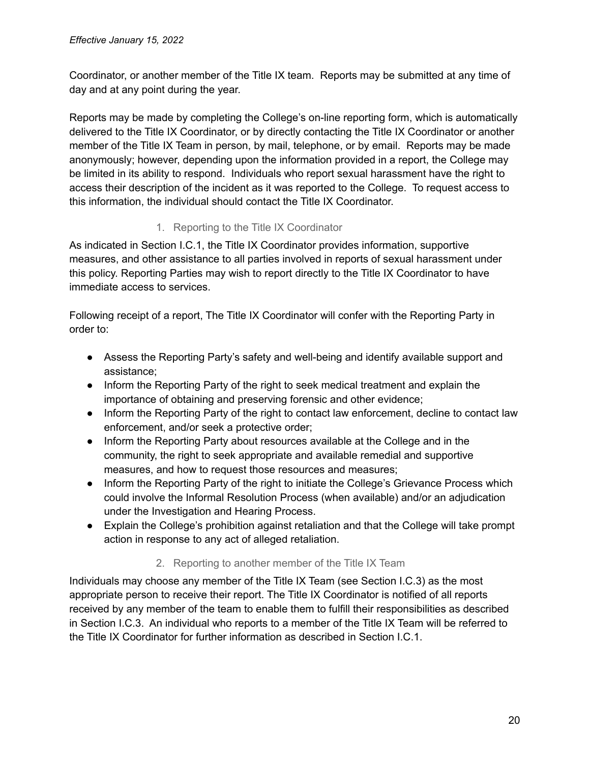Coordinator, or another member of the Title IX team. Reports may be submitted at any time of day and at any point during the year.

Reports may be made by completing the College's on-line reporting form, which is automatically delivered to the Title IX Coordinator, or by directly contacting the Title IX Coordinator or another member of the Title IX Team in person, by mail, telephone, or by email. Reports may be made anonymously; however, depending upon the information provided in a report, the College may be limited in its ability to respond. Individuals who report sexual harassment have the right to access their description of the incident as it was reported to the College. To request access to this information, the individual should contact the Title IX Coordinator.

# 1. Reporting to the Title IX Coordinator

<span id="page-19-0"></span>As indicated in Section I.C.1, the Title IX Coordinator provides information, supportive measures, and other assistance to all parties involved in reports of sexual harassment under this policy. Reporting Parties may wish to report directly to the Title IX Coordinator to have immediate access to services.

Following receipt of a report, The Title IX Coordinator will confer with the Reporting Party in order to:

- Assess the Reporting Party's safety and well-being and identify available support and assistance;
- Inform the Reporting Party of the right to seek medical treatment and explain the importance of obtaining and preserving forensic and other evidence;
- Inform the Reporting Party of the right to contact law enforcement, decline to contact law enforcement, and/or seek a protective order;
- Inform the Reporting Party about resources available at the College and in the community, the right to seek appropriate and available remedial and supportive measures, and how to request those resources and measures;
- Inform the Reporting Party of the right to initiate the College's Grievance Process which could involve the Informal Resolution Process (when available) and/or an adjudication under the Investigation and Hearing Process.
- Explain the College's prohibition against retaliation and that the College will take prompt action in response to any act of alleged retaliation.

### 2. Reporting to another member of the Title IX Team

<span id="page-19-1"></span>Individuals may choose any member of the Title IX Team (see Section I.C.3) as the most appropriate person to receive their report. The Title IX Coordinator is notified of all reports received by any member of the team to enable them to fulfill their responsibilities as described in Section I.C.3. An individual who reports to a member of the Title IX Team will be referred to the Title IX Coordinator for further information as described in Section I.C.1.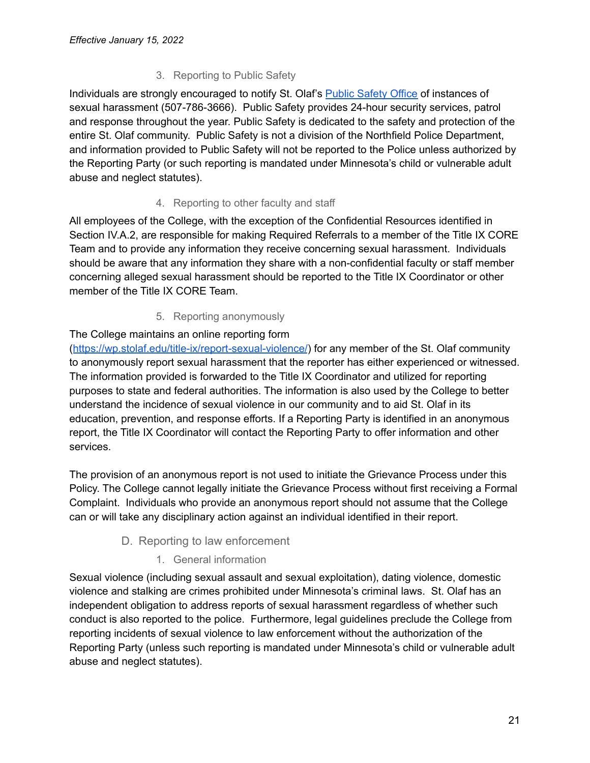# 3. Reporting to Public Safety

<span id="page-20-0"></span>Individuals are strongly encouraged to notify St. Olaf's Public [Safety](https://wp.stolaf.edu/publicsafety/) Office of instances of sexual harassment (507-786-3666). Public Safety provides 24-hour security services, patrol and response throughout the year. Public Safety is dedicated to the safety and protection of the entire St. Olaf community. Public Safety is not a division of the Northfield Police Department, and information provided to Public Safety will not be reported to the Police unless authorized by the Reporting Party (or such reporting is mandated under Minnesota's child or vulnerable adult abuse and neglect statutes).

# 4. Reporting to other faculty and staff

<span id="page-20-1"></span>All employees of the College, with the exception of the Confidential Resources identified in Section IV.A.2, are responsible for making Required Referrals to a member of the Title IX CORE Team and to provide any information they receive concerning sexual harassment. Individuals should be aware that any information they share with a non-confidential faculty or staff member concerning alleged sexual harassment should be reported to the Title IX Coordinator or other member of the Title IX CORE Team.

### 5. Reporting anonymously

# <span id="page-20-2"></span>The College maintains an online reporting form

(<https://wp.stolaf.edu/title-ix/report-sexual-violence/>) for any member of the St. Olaf community to anonymously report sexual harassment that the reporter has either experienced or witnessed. The information provided is forwarded to the Title IX Coordinator and utilized for reporting purposes to state and federal authorities. The information is also used by the College to better understand the incidence of sexual violence in our community and to aid St. Olaf in its education, prevention, and response efforts. If a Reporting Party is identified in an anonymous report, the Title IX Coordinator will contact the Reporting Party to offer information and other services.

The provision of an anonymous report is not used to initiate the Grievance Process under this Policy. The College cannot legally initiate the Grievance Process without first receiving a Formal Complaint. Individuals who provide an anonymous report should not assume that the College can or will take any disciplinary action against an individual identified in their report.

### D. Reporting to law enforcement

### 1. General information

<span id="page-20-4"></span><span id="page-20-3"></span>Sexual violence (including sexual assault and sexual exploitation), dating violence, domestic violence and stalking are crimes prohibited under Minnesota's criminal laws. St. Olaf has an independent obligation to address reports of sexual harassment regardless of whether such conduct is also reported to the police. Furthermore, legal guidelines preclude the College from reporting incidents of sexual violence to law enforcement without the authorization of the Reporting Party (unless such reporting is mandated under Minnesota's child or vulnerable adult abuse and neglect statutes).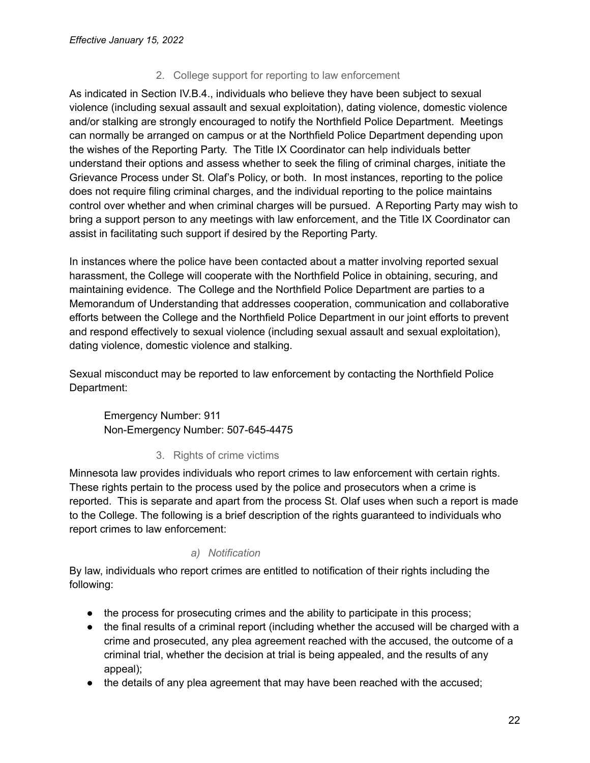### 2. College support for reporting to law enforcement

<span id="page-21-0"></span>As indicated in Section IV.B.4., individuals who believe they have been subject to sexual violence (including sexual assault and sexual exploitation), dating violence, domestic violence and/or stalking are strongly encouraged to notify the Northfield Police Department. Meetings can normally be arranged on campus or at the Northfield Police Department depending upon the wishes of the Reporting Party. The Title IX Coordinator can help individuals better understand their options and assess whether to seek the filing of criminal charges, initiate the Grievance Process under St. Olaf's Policy, or both. In most instances, reporting to the police does not require filing criminal charges, and the individual reporting to the police maintains control over whether and when criminal charges will be pursued. A Reporting Party may wish to bring a support person to any meetings with law enforcement, and the Title IX Coordinator can assist in facilitating such support if desired by the Reporting Party.

In instances where the police have been contacted about a matter involving reported sexual harassment, the College will cooperate with the Northfield Police in obtaining, securing, and maintaining evidence. The College and the Northfield Police Department are parties to a Memorandum of Understanding that addresses cooperation, communication and collaborative efforts between the College and the Northfield Police Department in our joint efforts to prevent and respond effectively to sexual violence (including sexual assault and sexual exploitation), dating violence, domestic violence and stalking.

Sexual misconduct may be reported to law enforcement by contacting the Northfield Police Department:

Emergency Number: 911 Non-Emergency Number: 507-645-4475

### 3. Rights of crime victims

<span id="page-21-1"></span>Minnesota law provides individuals who report crimes to law enforcement with certain rights. These rights pertain to the process used by the police and prosecutors when a crime is reported. This is separate and apart from the process St. Olaf uses when such a report is made to the College. The following is a brief description of the rights guaranteed to individuals who report crimes to law enforcement:

### *a) Notification*

<span id="page-21-2"></span>By law, individuals who report crimes are entitled to notification of their rights including the following:

- the process for prosecuting crimes and the ability to participate in this process;
- the final results of a criminal report (including whether the accused will be charged with a crime and prosecuted, any plea agreement reached with the accused, the outcome of a criminal trial, whether the decision at trial is being appealed, and the results of any appeal);
- the details of any plea agreement that may have been reached with the accused;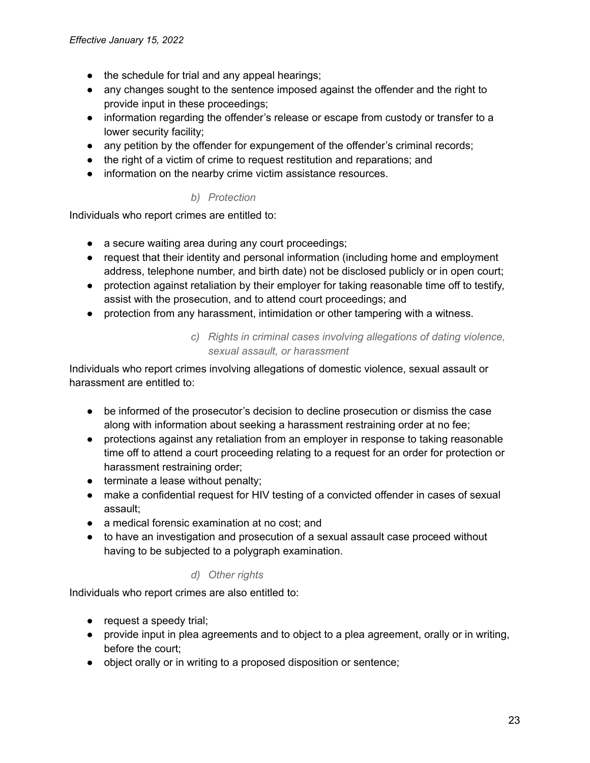- the schedule for trial and any appeal hearings:
- any changes sought to the sentence imposed against the offender and the right to provide input in these proceedings;
- information regarding the offender's release or escape from custody or transfer to a lower security facility;
- any petition by the offender for expungement of the offender's criminal records;
- the right of a victim of crime to request restitution and reparations; and
- <span id="page-22-0"></span>● information on the nearby crime victim assistance resources.

#### *b) Protection*

Individuals who report crimes are entitled to:

- a secure waiting area during any court proceedings;
- request that their identity and personal information (including home and employment address, telephone number, and birth date) not be disclosed publicly or in open court;
- protection against retaliation by their employer for taking reasonable time off to testify, assist with the prosecution, and to attend court proceedings; and
- protection from any harassment, intimidation or other tampering with a witness.

### *c) Rights in criminal cases involving allegations of dating violence, sexual assault, or harassment*

<span id="page-22-1"></span>Individuals who report crimes involving allegations of domestic violence, sexual assault or harassment are entitled to:

- be informed of the prosecutor's decision to decline prosecution or dismiss the case along with information about seeking a harassment restraining order at no fee;
- protections against any retaliation from an employer in response to taking reasonable time off to attend a court proceeding relating to a request for an order for protection or harassment restraining order;
- terminate a lease without penalty;
- make a confidential request for HIV testing of a convicted offender in cases of sexual assault;
- a medical forensic examination at no cost; and
- to have an investigation and prosecution of a sexual assault case proceed without having to be subjected to a polygraph examination.

#### *d) Other rights*

<span id="page-22-2"></span>Individuals who report crimes are also entitled to:

- request a speedy trial;
- provide input in plea agreements and to object to a plea agreement, orally or in writing, before the court;
- object orally or in writing to a proposed disposition or sentence;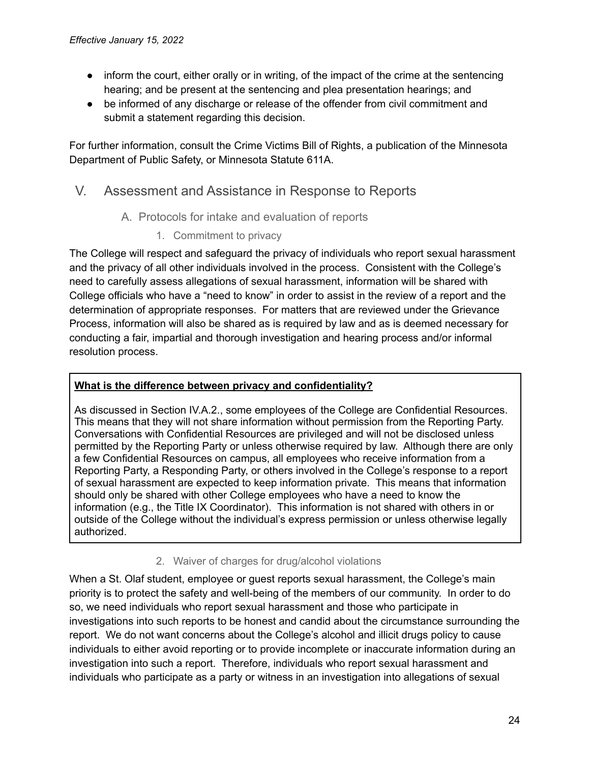- inform the court, either orally or in writing, of the impact of the crime at the sentencing hearing; and be present at the sentencing and plea presentation hearings; and
- be informed of any discharge or release of the offender from civil commitment and submit a statement regarding this decision.

For further information, consult the Crime Victims Bill of Rights, a publication of the Minnesota Department of Public Safety, or Minnesota Statute 611A.

# <span id="page-23-1"></span><span id="page-23-0"></span>V. Assessment and Assistance in Response to Reports

- A. Protocols for intake and evaluation of reports
	- 1. Commitment to privacy

<span id="page-23-2"></span>The College will respect and safeguard the privacy of individuals who report sexual harassment and the privacy of all other individuals involved in the process. Consistent with the College's need to carefully assess allegations of sexual harassment, information will be shared with College officials who have a "need to know" in order to assist in the review of a report and the determination of appropriate responses. For matters that are reviewed under the Grievance Process, information will also be shared as is required by law and as is deemed necessary for conducting a fair, impartial and thorough investigation and hearing process and/or informal resolution process.

# **What is the difference between privacy and confidentiality?**

As discussed in Section IV.A.2., some employees of the College are Confidential Resources. This means that they will not share information without permission from the Reporting Party. Conversations with Confidential Resources are privileged and will not be disclosed unless permitted by the Reporting Party or unless otherwise required by law. Although there are only a few Confidential Resources on campus, all employees who receive information from a Reporting Party, a Responding Party, or others involved in the College's response to a report of sexual harassment are expected to keep information private. This means that information should only be shared with other College employees who have a need to know the information (e.g., the Title IX Coordinator). This information is not shared with others in or outside of the College without the individual's express permission or unless otherwise legally authorized.

# 2. Waiver of charges for drug/alcohol violations

<span id="page-23-3"></span>When a St. Olaf student, employee or guest reports sexual harassment, the College's main priority is to protect the safety and well-being of the members of our community. In order to do so, we need individuals who report sexual harassment and those who participate in investigations into such reports to be honest and candid about the circumstance surrounding the report. We do not want concerns about the College's alcohol and illicit drugs policy to cause individuals to either avoid reporting or to provide incomplete or inaccurate information during an investigation into such a report. Therefore, individuals who report sexual harassment and individuals who participate as a party or witness in an investigation into allegations of sexual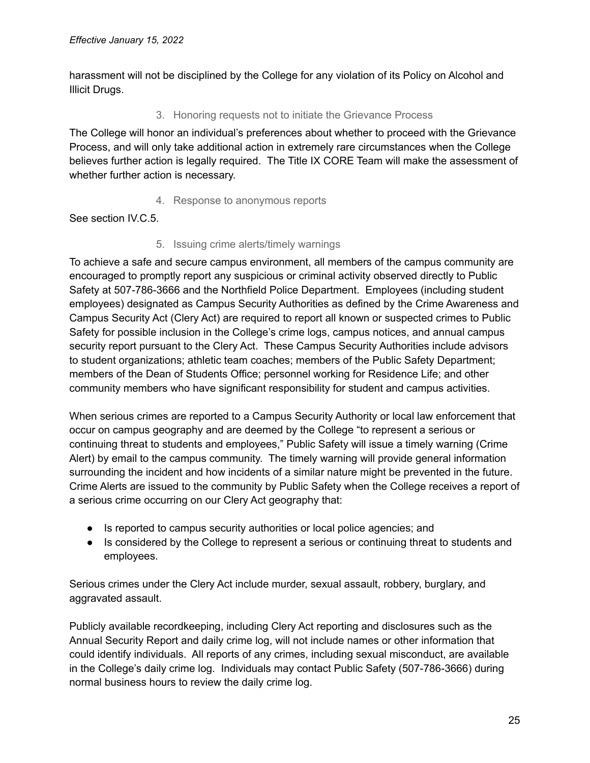<span id="page-24-0"></span>harassment will not be disciplined by the College for any violation of its Policy on Alcohol and Illicit Drugs.

## 3. Honoring requests not to initiate the Grievance Process

The College will honor an individual's preferences about whether to proceed with the Grievance Process, and will only take additional action in extremely rare circumstances when the College believes further action is legally required. The Title IX CORE Team will make the assessment of whether further action is necessary.

# 4. Response to anonymous reports

<span id="page-24-2"></span><span id="page-24-1"></span>See section IV.C.5.

# 5. Issuing crime alerts/timely warnings

To achieve a safe and secure campus environment, all members of the campus community are encouraged to promptly report any suspicious or criminal activity observed directly to Public Safety at 507-786-3666 and the Northfield Police Department. Employees (including student employees) designated as Campus Security Authorities as defined by the Crime Awareness and Campus Security Act (Clery Act) are required to report all known or suspected crimes to Public Safety for possible inclusion in the College's crime logs, campus notices, and annual campus security report pursuant to the Clery Act. These Campus Security Authorities include advisors to student organizations; athletic team coaches; members of the Public Safety Department; members of the Dean of Students Office; personnel working for Residence Life; and other community members who have significant responsibility for student and campus activities.

When serious crimes are reported to a Campus Security Authority or local law enforcement that occur on campus geography and are deemed by the College "to represent a serious or continuing threat to students and employees," Public Safety will issue a timely warning (Crime Alert) by email to the campus community. The timely warning will provide general information surrounding the incident and how incidents of a similar nature might be prevented in the future. Crime Alerts are issued to the community by Public Safety when the College receives a report of a serious crime occurring on our Clery Act geography that:

- Is reported to campus security authorities or local police agencies; and
- Is considered by the College to represent a serious or continuing threat to students and employees.

Serious crimes under the Clery Act include murder, sexual assault, robbery, burglary, and aggravated assault.

Publicly available recordkeeping, including Clery Act reporting and disclosures such as the Annual Security Report and daily crime log, will not include names or other information that could identify individuals. All reports of any crimes, including sexual misconduct, are available in the College's daily crime log. Individuals may contact Public Safety (507-786-3666) during normal business hours to review the daily crime log.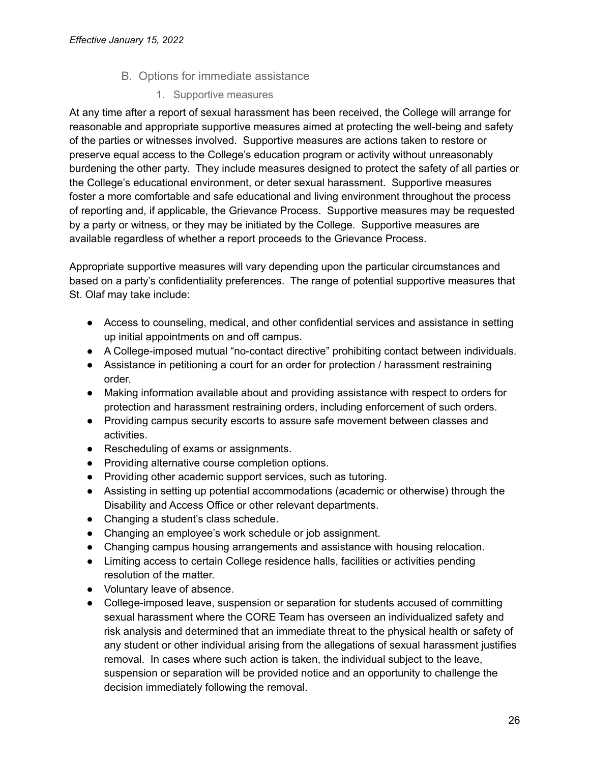# B. Options for immediate assistance

1. Supportive measures

<span id="page-25-1"></span><span id="page-25-0"></span>At any time after a report of sexual harassment has been received, the College will arrange for reasonable and appropriate supportive measures aimed at protecting the well-being and safety of the parties or witnesses involved. Supportive measures are actions taken to restore or preserve equal access to the College's education program or activity without unreasonably burdening the other party. They include measures designed to protect the safety of all parties or the College's educational environment, or deter sexual harassment. Supportive measures foster a more comfortable and safe educational and living environment throughout the process of reporting and, if applicable, the Grievance Process. Supportive measures may be requested by a party or witness, or they may be initiated by the College. Supportive measures are available regardless of whether a report proceeds to the Grievance Process.

Appropriate supportive measures will vary depending upon the particular circumstances and based on a party's confidentiality preferences. The range of potential supportive measures that St. Olaf may take include:

- Access to counseling, medical, and other confidential services and assistance in setting up initial appointments on and off campus.
- A College-imposed mutual "no-contact directive" prohibiting contact between individuals.
- Assistance in petitioning a court for an order for protection / harassment restraining order.
- Making information available about and providing assistance with respect to orders for protection and harassment restraining orders, including enforcement of such orders.
- Providing campus security escorts to assure safe movement between classes and activities.
- Rescheduling of exams or assignments.
- Providing alternative course completion options.
- Providing other academic support services, such as tutoring.
- Assisting in setting up potential accommodations (academic or otherwise) through the Disability and Access Office or other relevant departments.
- Changing a student's class schedule.
- Changing an employee's work schedule or job assignment.
- Changing campus housing arrangements and assistance with housing relocation.
- Limiting access to certain College residence halls, facilities or activities pending resolution of the matter.
- Voluntary leave of absence.
- College-imposed leave, suspension or separation for students accused of committing sexual harassment where the CORE Team has overseen an individualized safety and risk analysis and determined that an immediate threat to the physical health or safety of any student or other individual arising from the allegations of sexual harassment justifies removal. In cases where such action is taken, the individual subject to the leave, suspension or separation will be provided notice and an opportunity to challenge the decision immediately following the removal.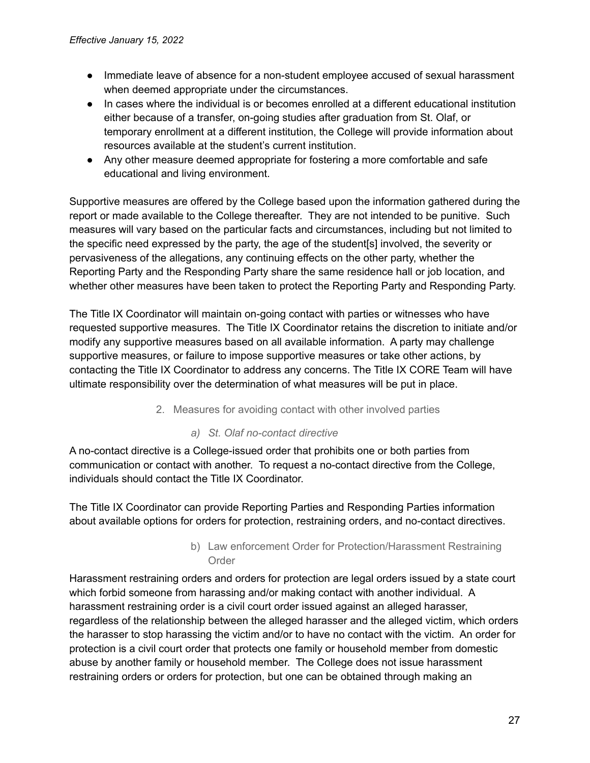- Immediate leave of absence for a non-student employee accused of sexual harassment when deemed appropriate under the circumstances.
- In cases where the individual is or becomes enrolled at a different educational institution either because of a transfer, on-going studies after graduation from St. Olaf, or temporary enrollment at a different institution, the College will provide information about resources available at the student's current institution.
- Any other measure deemed appropriate for fostering a more comfortable and safe educational and living environment.

Supportive measures are offered by the College based upon the information gathered during the report or made available to the College thereafter. They are not intended to be punitive. Such measures will vary based on the particular facts and circumstances, including but not limited to the specific need expressed by the party, the age of the student[s] involved, the severity or pervasiveness of the allegations, any continuing effects on the other party, whether the Reporting Party and the Responding Party share the same residence hall or job location, and whether other measures have been taken to protect the Reporting Party and Responding Party.

The Title IX Coordinator will maintain on-going contact with parties or witnesses who have requested supportive measures. The Title IX Coordinator retains the discretion to initiate and/or modify any supportive measures based on all available information. A party may challenge supportive measures, or failure to impose supportive measures or take other actions, by contacting the Title IX Coordinator to address any concerns. The Title IX CORE Team will have ultimate responsibility over the determination of what measures will be put in place.

#### 2. Measures for avoiding contact with other involved parties

#### *a) St. Olaf no-contact directive*

<span id="page-26-1"></span><span id="page-26-0"></span>A no-contact directive is a College-issued order that prohibits one or both parties from communication or contact with another. To request a no-contact directive from the College, individuals should contact the Title IX Coordinator.

The Title IX Coordinator can provide Reporting Parties and Responding Parties information about available options for orders for protection, restraining orders, and no-contact directives.

#### b) Law enforcement Order for Protection/Harassment Restraining Order

<span id="page-26-2"></span>Harassment restraining orders and orders for protection are legal orders issued by a state court which forbid someone from harassing and/or making contact with another individual. A harassment restraining order is a civil court order issued against an alleged harasser, regardless of the relationship between the alleged harasser and the alleged victim, which orders the harasser to stop harassing the victim and/or to have no contact with the victim. An order for protection is a civil court order that protects one family or household member from domestic abuse by another family or household member. The College does not issue harassment restraining orders or orders for protection, but one can be obtained through making an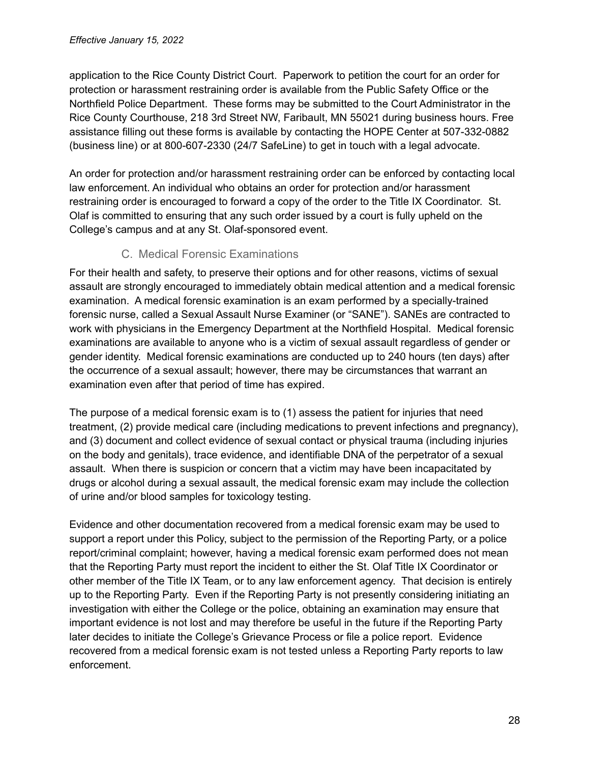application to the Rice County District Court. Paperwork to petition the court for an order for protection or harassment restraining order is available from the Public Safety Office or the Northfield Police Department. These forms may be submitted to the Court Administrator in the Rice County Courthouse, 218 3rd Street NW, Faribault, MN 55021 during business hours. Free assistance filling out these forms is available by contacting the HOPE Center at 507-332-0882 (business line) or at 800-607-2330 (24/7 SafeLine) to get in touch with a legal advocate.

An order for protection and/or harassment restraining order can be enforced by contacting local law enforcement. An individual who obtains an order for protection and/or harassment restraining order is encouraged to forward a copy of the order to the Title IX Coordinator. St. Olaf is committed to ensuring that any such order issued by a court is fully upheld on the College's campus and at any St. Olaf-sponsored event.

# C. Medical Forensic Examinations

<span id="page-27-0"></span>For their health and safety, to preserve their options and for other reasons, victims of sexual assault are strongly encouraged to immediately obtain medical attention and a medical forensic examination. A medical forensic examination is an exam performed by a specially-trained forensic nurse, called a Sexual Assault Nurse Examiner (or "SANE"). SANEs are contracted to work with physicians in the Emergency Department at the Northfield Hospital. Medical forensic examinations are available to anyone who is a victim of sexual assault regardless of gender or gender identity. Medical forensic examinations are conducted up to 240 hours (ten days) after the occurrence of a sexual assault; however, there may be circumstances that warrant an examination even after that period of time has expired.

The purpose of a medical forensic exam is to (1) assess the patient for injuries that need treatment, (2) provide medical care (including medications to prevent infections and pregnancy), and (3) document and collect evidence of sexual contact or physical trauma (including injuries on the body and genitals), trace evidence, and identifiable DNA of the perpetrator of a sexual assault. When there is suspicion or concern that a victim may have been incapacitated by drugs or alcohol during a sexual assault, the medical forensic exam may include the collection of urine and/or blood samples for toxicology testing.

Evidence and other documentation recovered from a medical forensic exam may be used to support a report under this Policy, subject to the permission of the Reporting Party, or a police report/criminal complaint; however, having a medical forensic exam performed does not mean that the Reporting Party must report the incident to either the St. Olaf Title IX Coordinator or other member of the Title IX Team, or to any law enforcement agency. That decision is entirely up to the Reporting Party. Even if the Reporting Party is not presently considering initiating an investigation with either the College or the police, obtaining an examination may ensure that important evidence is not lost and may therefore be useful in the future if the Reporting Party later decides to initiate the College's Grievance Process or file a police report. Evidence recovered from a medical forensic exam is not tested unless a Reporting Party reports to law enforcement.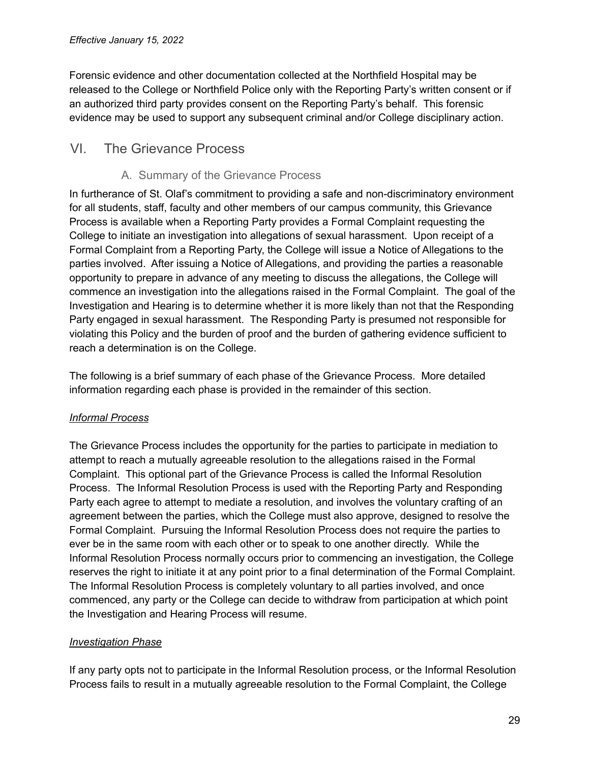Forensic evidence and other documentation collected at the Northfield Hospital may be released to the College or Northfield Police only with the Reporting Party's written consent or if an authorized third party provides consent on the Reporting Party's behalf. This forensic evidence may be used to support any subsequent criminal and/or College disciplinary action.

# <span id="page-28-1"></span><span id="page-28-0"></span>VI. The Grievance Process

# A. Summary of the Grievance Process

In furtherance of St. Olaf's commitment to providing a safe and non-discriminatory environment for all students, staff, faculty and other members of our campus community, this Grievance Process is available when a Reporting Party provides a Formal Complaint requesting the College to initiate an investigation into allegations of sexual harassment. Upon receipt of a Formal Complaint from a Reporting Party, the College will issue a Notice of Allegations to the parties involved. After issuing a Notice of Allegations, and providing the parties a reasonable opportunity to prepare in advance of any meeting to discuss the allegations, the College will commence an investigation into the allegations raised in the Formal Complaint. The goal of the Investigation and Hearing is to determine whether it is more likely than not that the Responding Party engaged in sexual harassment. The Responding Party is presumed not responsible for violating this Policy and the burden of proof and the burden of gathering evidence sufficient to reach a determination is on the College.

The following is a brief summary of each phase of the Grievance Process. More detailed information regarding each phase is provided in the remainder of this section.

# *Informal Process*

The Grievance Process includes the opportunity for the parties to participate in mediation to attempt to reach a mutually agreeable resolution to the allegations raised in the Formal Complaint. This optional part of the Grievance Process is called the Informal Resolution Process. The Informal Resolution Process is used with the Reporting Party and Responding Party each agree to attempt to mediate a resolution, and involves the voluntary crafting of an agreement between the parties, which the College must also approve, designed to resolve the Formal Complaint. Pursuing the Informal Resolution Process does not require the parties to ever be in the same room with each other or to speak to one another directly. While the Informal Resolution Process normally occurs prior to commencing an investigation, the College reserves the right to initiate it at any point prior to a final determination of the Formal Complaint. The Informal Resolution Process is completely voluntary to all parties involved, and once commenced, any party or the College can decide to withdraw from participation at which point the Investigation and Hearing Process will resume.

# *Investigation Phase*

If any party opts not to participate in the Informal Resolution process, or the Informal Resolution Process fails to result in a mutually agreeable resolution to the Formal Complaint, the College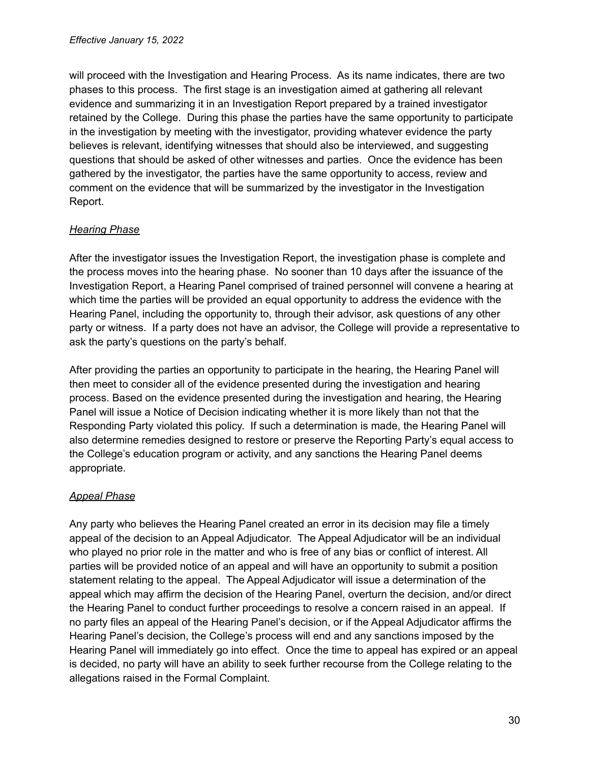will proceed with the Investigation and Hearing Process. As its name indicates, there are two phases to this process. The first stage is an investigation aimed at gathering all relevant evidence and summarizing it in an Investigation Report prepared by a trained investigator retained by the College. During this phase the parties have the same opportunity to participate in the investigation by meeting with the investigator, providing whatever evidence the party believes is relevant, identifying witnesses that should also be interviewed, and suggesting questions that should be asked of other witnesses and parties. Once the evidence has been gathered by the investigator, the parties have the same opportunity to access, review and comment on the evidence that will be summarized by the investigator in the Investigation Report.

# *Hearing Phase*

After the investigator issues the Investigation Report, the investigation phase is complete and the process moves into the hearing phase. No sooner than 10 days after the issuance of the Investigation Report, a Hearing Panel comprised of trained personnel will convene a hearing at which time the parties will be provided an equal opportunity to address the evidence with the Hearing Panel, including the opportunity to, through their advisor, ask questions of any other party or witness. If a party does not have an advisor, the College will provide a representative to ask the party's questions on the party's behalf.

After providing the parties an opportunity to participate in the hearing, the Hearing Panel will then meet to consider all of the evidence presented during the investigation and hearing process. Based on the evidence presented during the investigation and hearing, the Hearing Panel will issue a Notice of Decision indicating whether it is more likely than not that the Responding Party violated this policy. If such a determination is made, the Hearing Panel will also determine remedies designed to restore or preserve the Reporting Party's equal access to the College's education program or activity, and any sanctions the Hearing Panel deems appropriate.

### *Appeal Phase*

Any party who believes the Hearing Panel created an error in its decision may file a timely appeal of the decision to an Appeal Adjudicator. The Appeal Adjudicator will be an individual who played no prior role in the matter and who is free of any bias or conflict of interest. All parties will be provided notice of an appeal and will have an opportunity to submit a position statement relating to the appeal. The Appeal Adjudicator will issue a determination of the appeal which may affirm the decision of the Hearing Panel, overturn the decision, and/or direct the Hearing Panel to conduct further proceedings to resolve a concern raised in an appeal. If no party files an appeal of the Hearing Panel's decision, or if the Appeal Adjudicator affirms the Hearing Panel's decision, the College's process will end and any sanctions imposed by the Hearing Panel will immediately go into effect. Once the time to appeal has expired or an appeal is decided, no party will have an ability to seek further recourse from the College relating to the allegations raised in the Formal Complaint.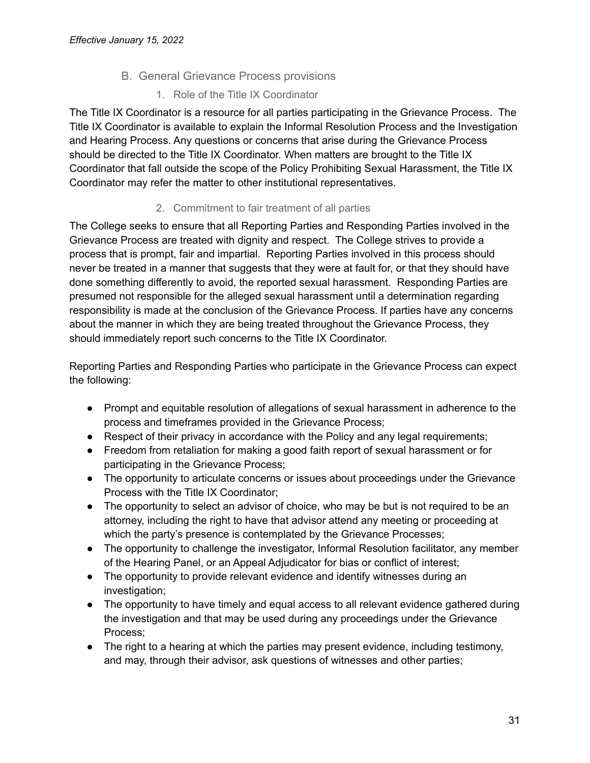## B. General Grievance Process provisions

1. Role of the Title IX Coordinator

<span id="page-30-1"></span><span id="page-30-0"></span>The Title IX Coordinator is a resource for all parties participating in the Grievance Process. The Title IX Coordinator is available to explain the Informal Resolution Process and the Investigation and Hearing Process. Any questions or concerns that arise during the Grievance Process should be directed to the Title IX Coordinator. When matters are brought to the Title IX Coordinator that fall outside the scope of the Policy Prohibiting Sexual Harassment, the Title IX Coordinator may refer the matter to other institutional representatives.

# 2. Commitment to fair treatment of all parties

<span id="page-30-2"></span>The College seeks to ensure that all Reporting Parties and Responding Parties involved in the Grievance Process are treated with dignity and respect. The College strives to provide a process that is prompt, fair and impartial. Reporting Parties involved in this process should never be treated in a manner that suggests that they were at fault for, or that they should have done something differently to avoid, the reported sexual harassment. Responding Parties are presumed not responsible for the alleged sexual harassment until a determination regarding responsibility is made at the conclusion of the Grievance Process. If parties have any concerns about the manner in which they are being treated throughout the Grievance Process, they should immediately report such concerns to the Title IX Coordinator.

Reporting Parties and Responding Parties who participate in the Grievance Process can expect the following:

- Prompt and equitable resolution of allegations of sexual harassment in adherence to the process and timeframes provided in the Grievance Process;
- Respect of their privacy in accordance with the Policy and any legal requirements;
- Freedom from retaliation for making a good faith report of sexual harassment or for participating in the Grievance Process;
- The opportunity to articulate concerns or issues about proceedings under the Grievance Process with the Title IX Coordinator;
- The opportunity to select an advisor of choice, who may be but is not required to be an attorney, including the right to have that advisor attend any meeting or proceeding at which the party's presence is contemplated by the Grievance Processes;
- The opportunity to challenge the investigator, Informal Resolution facilitator, any member of the Hearing Panel, or an Appeal Adjudicator for bias or conflict of interest;
- The opportunity to provide relevant evidence and identify witnesses during an investigation;
- The opportunity to have timely and equal access to all relevant evidence gathered during the investigation and that may be used during any proceedings under the Grievance Process;
- The right to a hearing at which the parties may present evidence, including testimony, and may, through their advisor, ask questions of witnesses and other parties;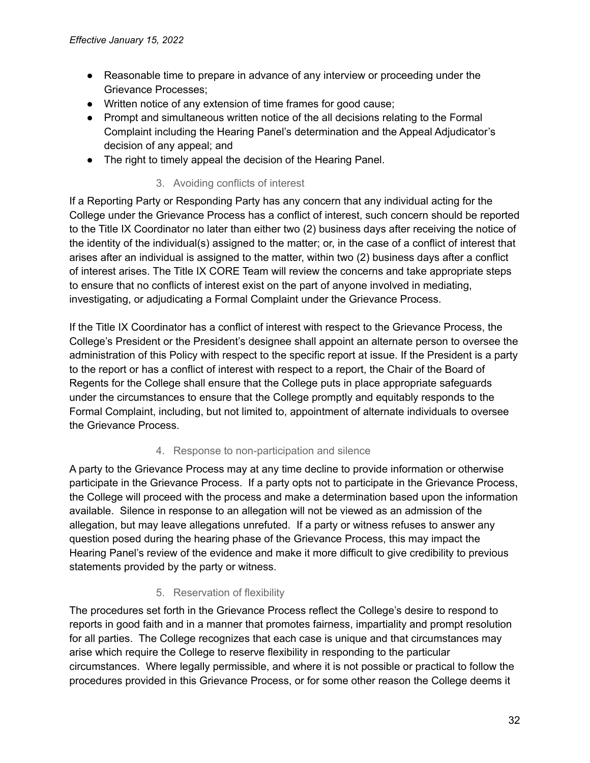- Reasonable time to prepare in advance of any interview or proceeding under the Grievance Processes;
- Written notice of any extension of time frames for good cause;
- Prompt and simultaneous written notice of the all decisions relating to the Formal Complaint including the Hearing Panel's determination and the Appeal Adjudicator's decision of any appeal; and
- <span id="page-31-0"></span>• The right to timely appeal the decision of the Hearing Panel.

# 3. Avoiding conflicts of interest

If a Reporting Party or Responding Party has any concern that any individual acting for the College under the Grievance Process has a conflict of interest, such concern should be reported to the Title IX Coordinator no later than either two (2) business days after receiving the notice of the identity of the individual(s) assigned to the matter; or, in the case of a conflict of interest that arises after an individual is assigned to the matter, within two (2) business days after a conflict of interest arises. The Title IX CORE Team will review the concerns and take appropriate steps to ensure that no conflicts of interest exist on the part of anyone involved in mediating, investigating, or adjudicating a Formal Complaint under the Grievance Process.

If the Title IX Coordinator has a conflict of interest with respect to the Grievance Process, the College's President or the President's designee shall appoint an alternate person to oversee the administration of this Policy with respect to the specific report at issue. If the President is a party to the report or has a conflict of interest with respect to a report, the Chair of the Board of Regents for the College shall ensure that the College puts in place appropriate safeguards under the circumstances to ensure that the College promptly and equitably responds to the Formal Complaint, including, but not limited to, appointment of alternate individuals to oversee the Grievance Process.

### 4. Response to non-participation and silence

<span id="page-31-1"></span>A party to the Grievance Process may at any time decline to provide information or otherwise participate in the Grievance Process. If a party opts not to participate in the Grievance Process, the College will proceed with the process and make a determination based upon the information available. Silence in response to an allegation will not be viewed as an admission of the allegation, but may leave allegations unrefuted. If a party or witness refuses to answer any question posed during the hearing phase of the Grievance Process, this may impact the Hearing Panel's review of the evidence and make it more difficult to give credibility to previous statements provided by the party or witness.

### 5. Reservation of flexibility

<span id="page-31-2"></span>The procedures set forth in the Grievance Process reflect the College's desire to respond to reports in good faith and in a manner that promotes fairness, impartiality and prompt resolution for all parties. The College recognizes that each case is unique and that circumstances may arise which require the College to reserve flexibility in responding to the particular circumstances. Where legally permissible, and where it is not possible or practical to follow the procedures provided in this Grievance Process, or for some other reason the College deems it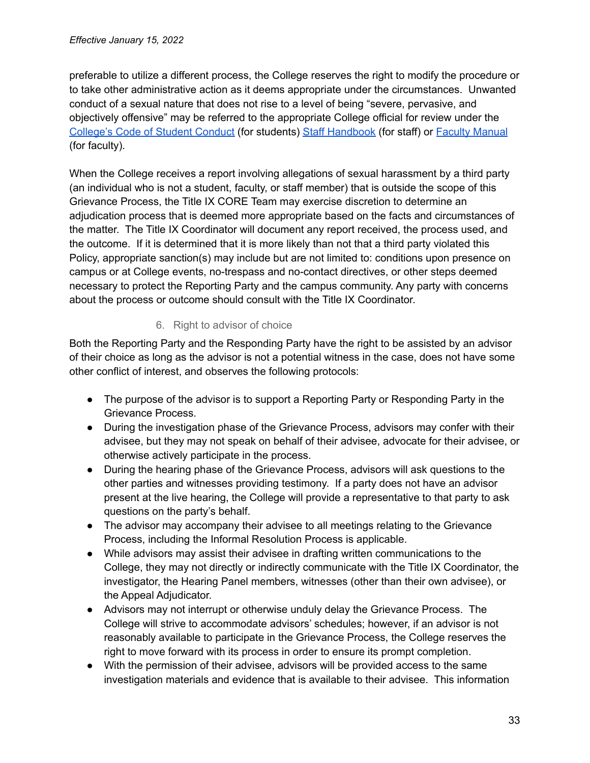preferable to utilize a different process, the College reserves the right to modify the procedure or to take other administrative action as it deems appropriate under the circumstances. Unwanted conduct of a sexual nature that does not rise to a level of being "severe, pervasive, and objectively offensive" may be referred to the appropriate College official for review under the [College's](https://wp.stolaf.edu/thebook/code-of-conduct/) Code of Student Conduct (for students) Staff [Handbook](https://wp.stolaf.edu/hr/files/2012/11/Staff-Handbook.pdf) (for staff) or Faculty [Manual](https://wp.stolaf.edu/doc/faculty-manual/) (for faculty).

When the College receives a report involving allegations of sexual harassment by a third party (an individual who is not a student, faculty, or staff member) that is outside the scope of this Grievance Process, the Title IX CORE Team may exercise discretion to determine an adjudication process that is deemed more appropriate based on the facts and circumstances of the matter. The Title IX Coordinator will document any report received, the process used, and the outcome. If it is determined that it is more likely than not that a third party violated this Policy, appropriate sanction(s) may include but are not limited to: conditions upon presence on campus or at College events, no-trespass and no-contact directives, or other steps deemed necessary to protect the Reporting Party and the campus community. Any party with concerns about the process or outcome should consult with the Title IX Coordinator.

# 6. Right to advisor of choice

<span id="page-32-0"></span>Both the Reporting Party and the Responding Party have the right to be assisted by an advisor of their choice as long as the advisor is not a potential witness in the case, does not have some other conflict of interest, and observes the following protocols:

- The purpose of the advisor is to support a Reporting Party or Responding Party in the Grievance Process.
- During the investigation phase of the Grievance Process, advisors may confer with their advisee, but they may not speak on behalf of their advisee, advocate for their advisee, or otherwise actively participate in the process.
- During the hearing phase of the Grievance Process, advisors will ask questions to the other parties and witnesses providing testimony. If a party does not have an advisor present at the live hearing, the College will provide a representative to that party to ask questions on the party's behalf.
- The advisor may accompany their advisee to all meetings relating to the Grievance Process, including the Informal Resolution Process is applicable.
- While advisors may assist their advisee in drafting written communications to the College, they may not directly or indirectly communicate with the Title IX Coordinator, the investigator, the Hearing Panel members, witnesses (other than their own advisee), or the Appeal Adjudicator.
- Advisors may not interrupt or otherwise unduly delay the Grievance Process. The College will strive to accommodate advisors' schedules; however, if an advisor is not reasonably available to participate in the Grievance Process, the College reserves the right to move forward with its process in order to ensure its prompt completion.
- With the permission of their advisee, advisors will be provided access to the same investigation materials and evidence that is available to their advisee. This information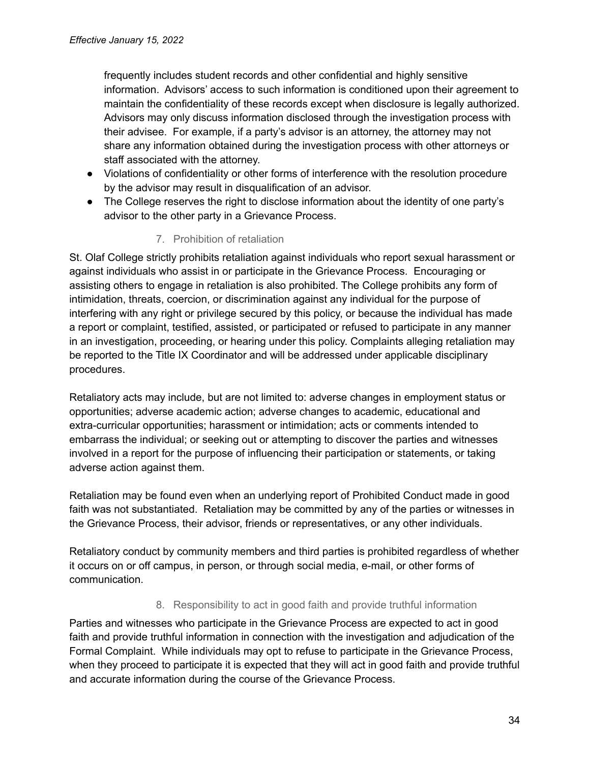frequently includes student records and other confidential and highly sensitive information. Advisors' access to such information is conditioned upon their agreement to maintain the confidentiality of these records except when disclosure is legally authorized. Advisors may only discuss information disclosed through the investigation process with their advisee. For example, if a party's advisor is an attorney, the attorney may not share any information obtained during the investigation process with other attorneys or staff associated with the attorney.

- Violations of confidentiality or other forms of interference with the resolution procedure by the advisor may result in disqualification of an advisor.
- The College reserves the right to disclose information about the identity of one party's advisor to the other party in a Grievance Process.

# 7. Prohibition of retaliation

<span id="page-33-0"></span>St. Olaf College strictly prohibits retaliation against individuals who report sexual harassment or against individuals who assist in or participate in the Grievance Process. Encouraging or assisting others to engage in retaliation is also prohibited. The College prohibits any form of intimidation, threats, coercion, or discrimination against any individual for the purpose of interfering with any right or privilege secured by this policy, or because the individual has made a report or complaint, testified, assisted, or participated or refused to participate in any manner in an investigation, proceeding, or hearing under this policy. Complaints alleging retaliation may be reported to the Title IX Coordinator and will be addressed under applicable disciplinary procedures.

Retaliatory acts may include, but are not limited to: adverse changes in employment status or opportunities; adverse academic action; adverse changes to academic, educational and extra-curricular opportunities; harassment or intimidation; acts or comments intended to embarrass the individual; or seeking out or attempting to discover the parties and witnesses involved in a report for the purpose of influencing their participation or statements, or taking adverse action against them.

Retaliation may be found even when an underlying report of Prohibited Conduct made in good faith was not substantiated. Retaliation may be committed by any of the parties or witnesses in the Grievance Process, their advisor, friends or representatives, or any other individuals.

Retaliatory conduct by community members and third parties is prohibited regardless of whether it occurs on or off campus, in person, or through social media, e-mail, or other forms of communication.

### 8. Responsibility to act in good faith and provide truthful information

<span id="page-33-1"></span>Parties and witnesses who participate in the Grievance Process are expected to act in good faith and provide truthful information in connection with the investigation and adjudication of the Formal Complaint. While individuals may opt to refuse to participate in the Grievance Process, when they proceed to participate it is expected that they will act in good faith and provide truthful and accurate information during the course of the Grievance Process.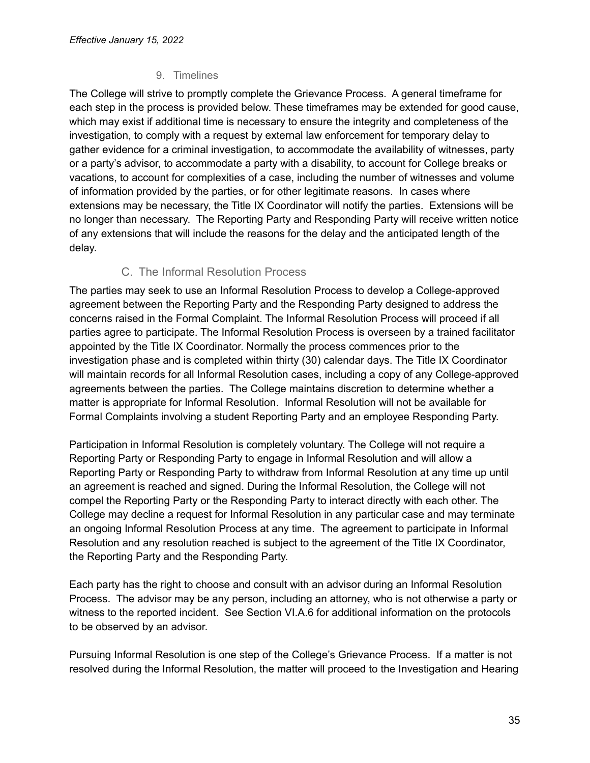# 9. Timelines

<span id="page-34-0"></span>The College will strive to promptly complete the Grievance Process. A general timeframe for each step in the process is provided below. These timeframes may be extended for good cause, which may exist if additional time is necessary to ensure the integrity and completeness of the investigation, to comply with a request by external law enforcement for temporary delay to gather evidence for a criminal investigation, to accommodate the availability of witnesses, party or a party's advisor, to accommodate a party with a disability, to account for College breaks or vacations, to account for complexities of a case, including the number of witnesses and volume of information provided by the parties, or for other legitimate reasons. In cases where extensions may be necessary, the Title IX Coordinator will notify the parties. Extensions will be no longer than necessary. The Reporting Party and Responding Party will receive written notice of any extensions that will include the reasons for the delay and the anticipated length of the delay.

# C. The Informal Resolution Process

<span id="page-34-1"></span>The parties may seek to use an Informal Resolution Process to develop a College-approved agreement between the Reporting Party and the Responding Party designed to address the concerns raised in the Formal Complaint. The Informal Resolution Process will proceed if all parties agree to participate. The Informal Resolution Process is overseen by a trained facilitator appointed by the Title IX Coordinator. Normally the process commences prior to the investigation phase and is completed within thirty (30) calendar days. The Title IX Coordinator will maintain records for all Informal Resolution cases, including a copy of any College-approved agreements between the parties. The College maintains discretion to determine whether a matter is appropriate for Informal Resolution. Informal Resolution will not be available for Formal Complaints involving a student Reporting Party and an employee Responding Party.

Participation in Informal Resolution is completely voluntary. The College will not require a Reporting Party or Responding Party to engage in Informal Resolution and will allow a Reporting Party or Responding Party to withdraw from Informal Resolution at any time up until an agreement is reached and signed. During the Informal Resolution, the College will not compel the Reporting Party or the Responding Party to interact directly with each other. The College may decline a request for Informal Resolution in any particular case and may terminate an ongoing Informal Resolution Process at any time. The agreement to participate in Informal Resolution and any resolution reached is subject to the agreement of the Title IX Coordinator, the Reporting Party and the Responding Party.

Each party has the right to choose and consult with an advisor during an Informal Resolution Process. The advisor may be any person, including an attorney, who is not otherwise a party or witness to the reported incident. See Section VI.A.6 for additional information on the protocols to be observed by an advisor.

Pursuing Informal Resolution is one step of the College's Grievance Process. If a matter is not resolved during the Informal Resolution, the matter will proceed to the Investigation and Hearing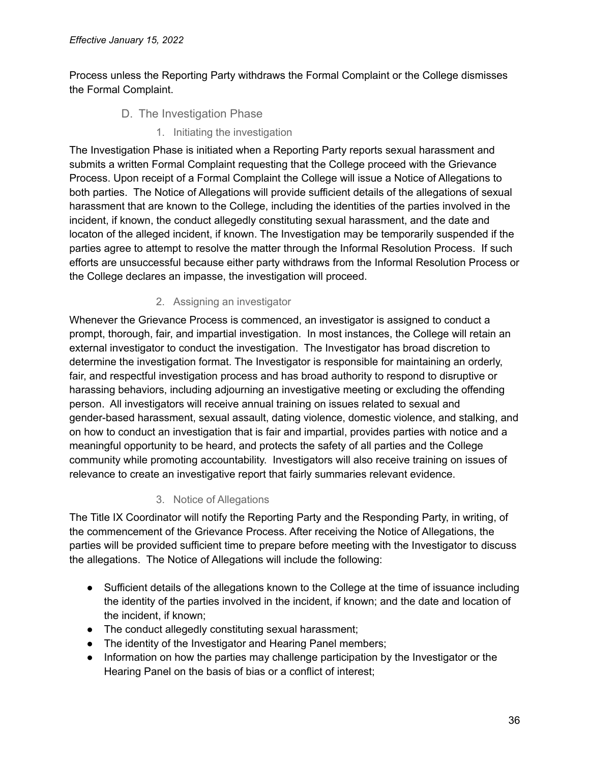<span id="page-35-0"></span>Process unless the Reporting Party withdraws the Formal Complaint or the College dismisses the Formal Complaint.

- D. The Investigation Phase
	- 1. Initiating the investigation

<span id="page-35-1"></span>The Investigation Phase is initiated when a Reporting Party reports sexual harassment and submits a written Formal Complaint requesting that the College proceed with the Grievance Process. Upon receipt of a Formal Complaint the College will issue a Notice of Allegations to both parties. The Notice of Allegations will provide sufficient details of the allegations of sexual harassment that are known to the College, including the identities of the parties involved in the incident, if known, the conduct allegedly constituting sexual harassment, and the date and locaton of the alleged incident, if known. The Investigation may be temporarily suspended if the parties agree to attempt to resolve the matter through the Informal Resolution Process. If such efforts are unsuccessful because either party withdraws from the Informal Resolution Process or the College declares an impasse, the investigation will proceed.

# 2. Assigning an investigator

<span id="page-35-2"></span>Whenever the Grievance Process is commenced, an investigator is assigned to conduct a prompt, thorough, fair, and impartial investigation. In most instances, the College will retain an external investigator to conduct the investigation. The Investigator has broad discretion to determine the investigation format. The Investigator is responsible for maintaining an orderly, fair, and respectful investigation process and has broad authority to respond to disruptive or harassing behaviors, including adjourning an investigative meeting or excluding the offending person. All investigators will receive annual training on issues related to sexual and gender-based harassment, sexual assault, dating violence, domestic violence, and stalking, and on how to conduct an investigation that is fair and impartial, provides parties with notice and a meaningful opportunity to be heard, and protects the safety of all parties and the College community while promoting accountability. Investigators will also receive training on issues of relevance to create an investigative report that fairly summaries relevant evidence.

### 3. Notice of Allegations

<span id="page-35-3"></span>The Title IX Coordinator will notify the Reporting Party and the Responding Party, in writing, of the commencement of the Grievance Process. After receiving the Notice of Allegations, the parties will be provided sufficient time to prepare before meeting with the Investigator to discuss the allegations. The Notice of Allegations will include the following:

- Sufficient details of the allegations known to the College at the time of issuance including the identity of the parties involved in the incident, if known; and the date and location of the incident, if known;
- The conduct allegedly constituting sexual harassment;
- The identity of the Investigator and Hearing Panel members:
- Information on how the parties may challenge participation by the Investigator or the Hearing Panel on the basis of bias or a conflict of interest;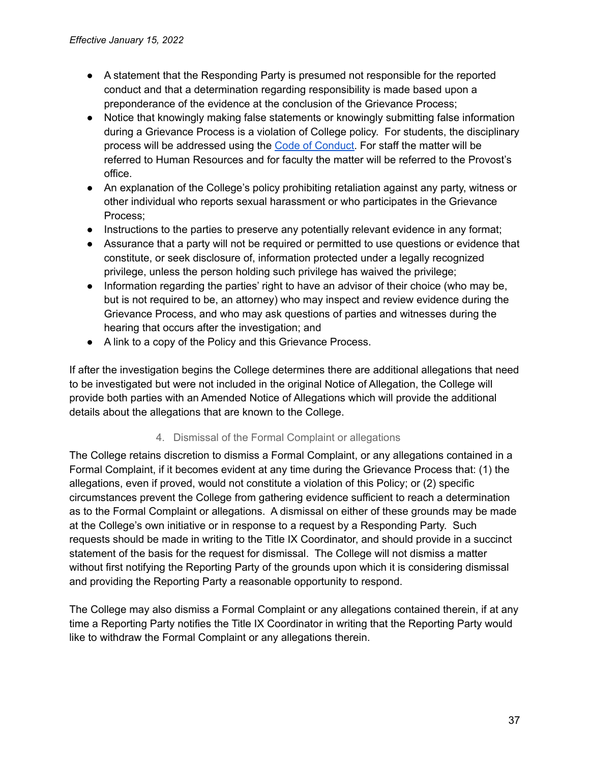- A statement that the Responding Party is presumed not responsible for the reported conduct and that a determination regarding responsibility is made based upon a preponderance of the evidence at the conclusion of the Grievance Process;
- Notice that knowingly making false statements or knowingly submitting false information during a Grievance Process is a violation of College policy. For students, the disciplinary process will be addressed using the Code of [Conduct.](https://wp.stolaf.edu/thebook/code-of-conduct/article6/) For staff the matter will be referred to Human Resources and for faculty the matter will be referred to the Provost's office.
- An explanation of the College's policy prohibiting retaliation against any party, witness or other individual who reports sexual harassment or who participates in the Grievance Process;
- Instructions to the parties to preserve any potentially relevant evidence in any format;
- Assurance that a party will not be required or permitted to use questions or evidence that constitute, or seek disclosure of, information protected under a legally recognized privilege, unless the person holding such privilege has waived the privilege;
- Information regarding the parties' right to have an advisor of their choice (who may be, but is not required to be, an attorney) who may inspect and review evidence during the Grievance Process, and who may ask questions of parties and witnesses during the hearing that occurs after the investigation; and
- A link to a copy of the Policy and this Grievance Process.

If after the investigation begins the College determines there are additional allegations that need to be investigated but were not included in the original Notice of Allegation, the College will provide both parties with an Amended Notice of Allegations which will provide the additional details about the allegations that are known to the College.

### 4. Dismissal of the Formal Complaint or allegations

<span id="page-36-0"></span>The College retains discretion to dismiss a Formal Complaint, or any allegations contained in a Formal Complaint, if it becomes evident at any time during the Grievance Process that: (1) the allegations, even if proved, would not constitute a violation of this Policy; or (2) specific circumstances prevent the College from gathering evidence sufficient to reach a determination as to the Formal Complaint or allegations. A dismissal on either of these grounds may be made at the College's own initiative or in response to a request by a Responding Party. Such requests should be made in writing to the Title IX Coordinator, and should provide in a succinct statement of the basis for the request for dismissal. The College will not dismiss a matter without first notifying the Reporting Party of the grounds upon which it is considering dismissal and providing the Reporting Party a reasonable opportunity to respond.

The College may also dismiss a Formal Complaint or any allegations contained therein, if at any time a Reporting Party notifies the Title IX Coordinator in writing that the Reporting Party would like to withdraw the Formal Complaint or any allegations therein.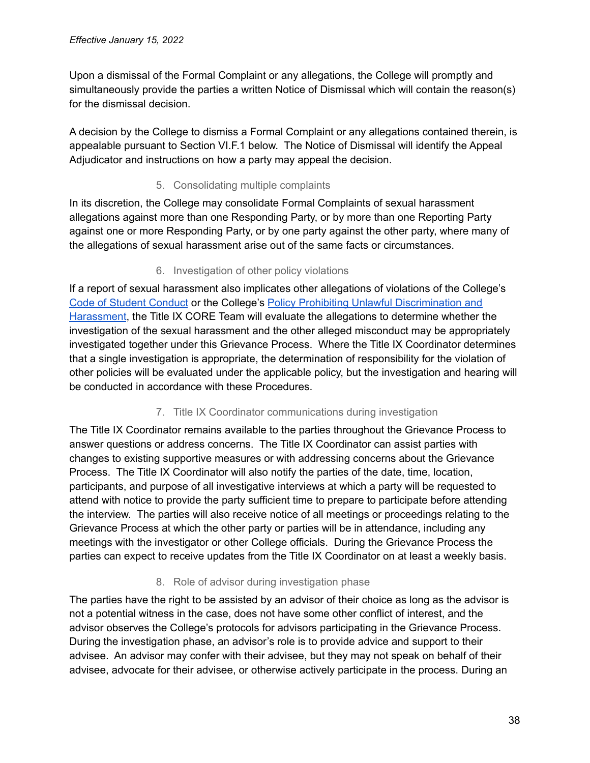Upon a dismissal of the Formal Complaint or any allegations, the College will promptly and simultaneously provide the parties a written Notice of Dismissal which will contain the reason(s) for the dismissal decision.

A decision by the College to dismiss a Formal Complaint or any allegations contained therein, is appealable pursuant to Section VI.F.1 below. The Notice of Dismissal will identify the Appeal Adjudicator and instructions on how a party may appeal the decision.

# 5. Consolidating multiple complaints

<span id="page-37-0"></span>In its discretion, the College may consolidate Formal Complaints of sexual harassment allegations against more than one Responding Party, or by more than one Reporting Party against one or more Responding Party, or by one party against the other party, where many of the allegations of sexual harassment arise out of the same facts or circumstances.

### 6. Investigation of other policy violations

<span id="page-37-1"></span>If a report of sexual harassment also implicates other allegations of violations of the College's Code of Student [Conduct](https://wp.stolaf.edu/thebook/code-of-conduct/) or the College's Policy Prohibiting Unlawful [Discrimination](https://wp.stolaf.edu/equity-inclusion/college-policy/) and [Harassment](https://wp.stolaf.edu/equity-inclusion/college-policy/), the Title IX CORE Team will evaluate the allegations to determine whether the investigation of the sexual harassment and the other alleged misconduct may be appropriately investigated together under this Grievance Process. Where the Title IX Coordinator determines that a single investigation is appropriate, the determination of responsibility for the violation of other policies will be evaluated under the applicable policy, but the investigation and hearing will be conducted in accordance with these Procedures.

### 7. Title IX Coordinator communications during investigation

<span id="page-37-2"></span>The Title IX Coordinator remains available to the parties throughout the Grievance Process to answer questions or address concerns. The Title IX Coordinator can assist parties with changes to existing supportive measures or with addressing concerns about the Grievance Process. The Title IX Coordinator will also notify the parties of the date, time, location, participants, and purpose of all investigative interviews at which a party will be requested to attend with notice to provide the party sufficient time to prepare to participate before attending the interview. The parties will also receive notice of all meetings or proceedings relating to the Grievance Process at which the other party or parties will be in attendance, including any meetings with the investigator or other College officials. During the Grievance Process the parties can expect to receive updates from the Title IX Coordinator on at least a weekly basis.

# 8. Role of advisor during investigation phase

<span id="page-37-3"></span>The parties have the right to be assisted by an advisor of their choice as long as the advisor is not a potential witness in the case, does not have some other conflict of interest, and the advisor observes the College's protocols for advisors participating in the Grievance Process. During the investigation phase, an advisor's role is to provide advice and support to their advisee. An advisor may confer with their advisee, but they may not speak on behalf of their advisee, advocate for their advisee, or otherwise actively participate in the process. During an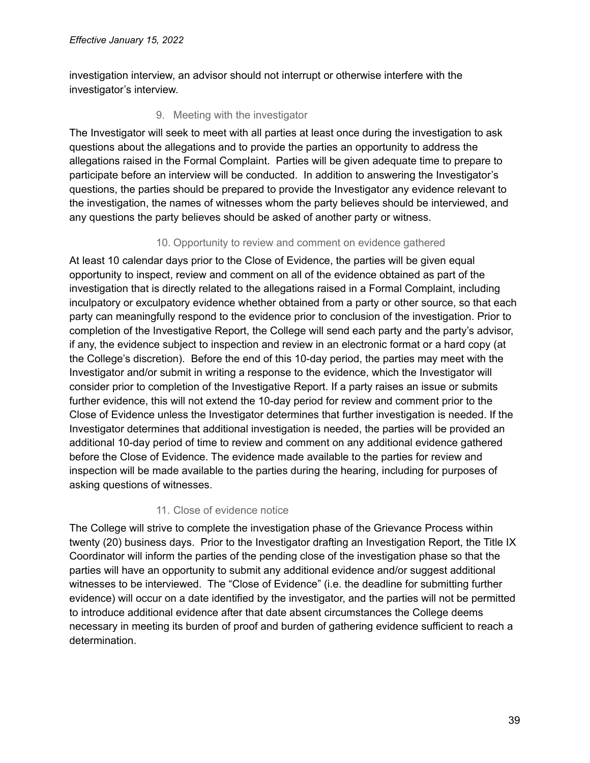<span id="page-38-0"></span>investigation interview, an advisor should not interrupt or otherwise interfere with the investigator's interview.

## 9. Meeting with the investigator

The Investigator will seek to meet with all parties at least once during the investigation to ask questions about the allegations and to provide the parties an opportunity to address the allegations raised in the Formal Complaint. Parties will be given adequate time to prepare to participate before an interview will be conducted. In addition to answering the Investigator's questions, the parties should be prepared to provide the Investigator any evidence relevant to the investigation, the names of witnesses whom the party believes should be interviewed, and any questions the party believes should be asked of another party or witness.

# 10. Opportunity to review and comment on evidence gathered

<span id="page-38-1"></span>At least 10 calendar days prior to the Close of Evidence, the parties will be given equal opportunity to inspect, review and comment on all of the evidence obtained as part of the investigation that is directly related to the allegations raised in a Formal Complaint, including inculpatory or exculpatory evidence whether obtained from a party or other source, so that each party can meaningfully respond to the evidence prior to conclusion of the investigation. Prior to completion of the Investigative Report, the College will send each party and the party's advisor, if any, the evidence subject to inspection and review in an electronic format or a hard copy (at the College's discretion). Before the end of this 10-day period, the parties may meet with the Investigator and/or submit in writing a response to the evidence, which the Investigator will consider prior to completion of the Investigative Report. If a party raises an issue or submits further evidence, this will not extend the 10-day period for review and comment prior to the Close of Evidence unless the Investigator determines that further investigation is needed. If the Investigator determines that additional investigation is needed, the parties will be provided an additional 10-day period of time to review and comment on any additional evidence gathered before the Close of Evidence. The evidence made available to the parties for review and inspection will be made available to the parties during the hearing, including for purposes of asking questions of witnesses.

### 11. Close of evidence notice

<span id="page-38-2"></span>The College will strive to complete the investigation phase of the Grievance Process within twenty (20) business days. Prior to the Investigator drafting an Investigation Report, the Title IX Coordinator will inform the parties of the pending close of the investigation phase so that the parties will have an opportunity to submit any additional evidence and/or suggest additional witnesses to be interviewed. The "Close of Evidence" (i.e. the deadline for submitting further evidence) will occur on a date identified by the investigator, and the parties will not be permitted to introduce additional evidence after that date absent circumstances the College deems necessary in meeting its burden of proof and burden of gathering evidence sufficient to reach a determination.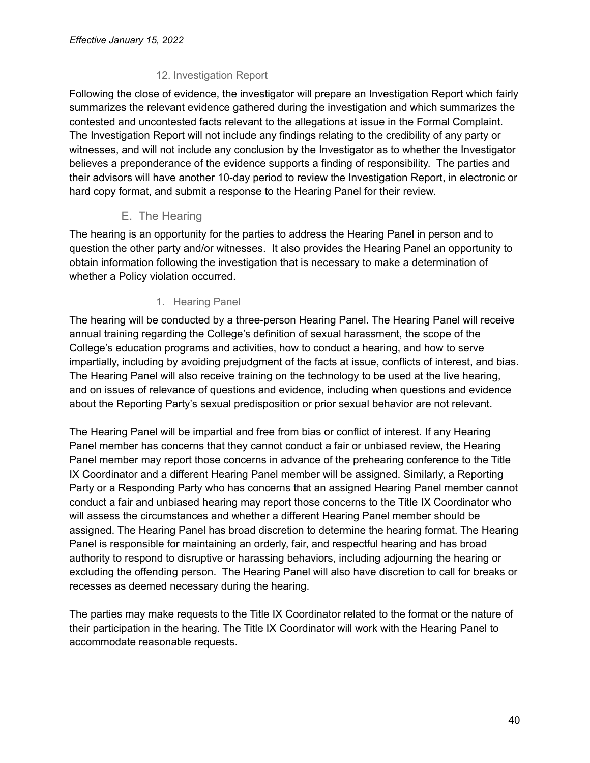# 12. Investigation Report

<span id="page-39-0"></span>Following the close of evidence, the investigator will prepare an Investigation Report which fairly summarizes the relevant evidence gathered during the investigation and which summarizes the contested and uncontested facts relevant to the allegations at issue in the Formal Complaint. The Investigation Report will not include any findings relating to the credibility of any party or witnesses, and will not include any conclusion by the Investigator as to whether the Investigator believes a preponderance of the evidence supports a finding of responsibility. The parties and their advisors will have another 10-day period to review the Investigation Report, in electronic or hard copy format, and submit a response to the Hearing Panel for their review.

# E. The Hearing

<span id="page-39-1"></span>The hearing is an opportunity for the parties to address the Hearing Panel in person and to question the other party and/or witnesses. It also provides the Hearing Panel an opportunity to obtain information following the investigation that is necessary to make a determination of whether a Policy violation occurred.

# 1. Hearing Panel

<span id="page-39-2"></span>The hearing will be conducted by a three-person Hearing Panel. The Hearing Panel will receive annual training regarding the College's definition of sexual harassment, the scope of the College's education programs and activities, how to conduct a hearing, and how to serve impartially, including by avoiding prejudgment of the facts at issue, conflicts of interest, and bias. The Hearing Panel will also receive training on the technology to be used at the live hearing, and on issues of relevance of questions and evidence, including when questions and evidence about the Reporting Party's sexual predisposition or prior sexual behavior are not relevant.

The Hearing Panel will be impartial and free from bias or conflict of interest. If any Hearing Panel member has concerns that they cannot conduct a fair or unbiased review, the Hearing Panel member may report those concerns in advance of the prehearing conference to the Title IX Coordinator and a different Hearing Panel member will be assigned. Similarly, a Reporting Party or a Responding Party who has concerns that an assigned Hearing Panel member cannot conduct a fair and unbiased hearing may report those concerns to the Title IX Coordinator who will assess the circumstances and whether a different Hearing Panel member should be assigned. The Hearing Panel has broad discretion to determine the hearing format. The Hearing Panel is responsible for maintaining an orderly, fair, and respectful hearing and has broad authority to respond to disruptive or harassing behaviors, including adjourning the hearing or excluding the offending person. The Hearing Panel will also have discretion to call for breaks or recesses as deemed necessary during the hearing.

The parties may make requests to the Title IX Coordinator related to the format or the nature of their participation in the hearing. The Title IX Coordinator will work with the Hearing Panel to accommodate reasonable requests.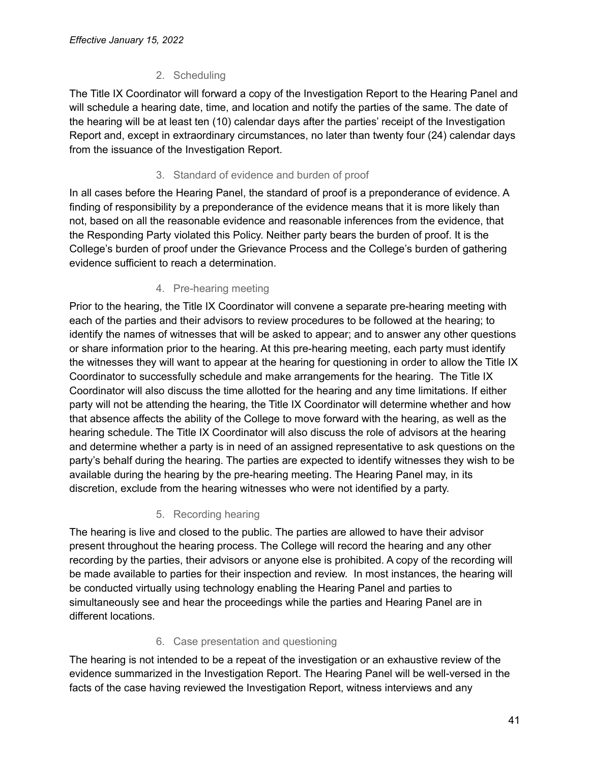# 2. Scheduling

<span id="page-40-0"></span>The Title IX Coordinator will forward a copy of the Investigation Report to the Hearing Panel and will schedule a hearing date, time, and location and notify the parties of the same. The date of the hearing will be at least ten (10) calendar days after the parties' receipt of the Investigation Report and, except in extraordinary circumstances, no later than twenty four (24) calendar days from the issuance of the Investigation Report.

# 3. Standard of evidence and burden of proof

<span id="page-40-1"></span>In all cases before the Hearing Panel, the standard of proof is a preponderance of evidence. A finding of responsibility by a preponderance of the evidence means that it is more likely than not, based on all the reasonable evidence and reasonable inferences from the evidence, that the Responding Party violated this Policy. Neither party bears the burden of proof. It is the College's burden of proof under the Grievance Process and the College's burden of gathering evidence sufficient to reach a determination.

# 4. Pre-hearing meeting

<span id="page-40-2"></span>Prior to the hearing, the Title IX Coordinator will convene a separate pre-hearing meeting with each of the parties and their advisors to review procedures to be followed at the hearing; to identify the names of witnesses that will be asked to appear; and to answer any other questions or share information prior to the hearing. At this pre-hearing meeting, each party must identify the witnesses they will want to appear at the hearing for questioning in order to allow the Title IX Coordinator to successfully schedule and make arrangements for the hearing. The Title IX Coordinator will also discuss the time allotted for the hearing and any time limitations. If either party will not be attending the hearing, the Title IX Coordinator will determine whether and how that absence affects the ability of the College to move forward with the hearing, as well as the hearing schedule. The Title IX Coordinator will also discuss the role of advisors at the hearing and determine whether a party is in need of an assigned representative to ask questions on the party's behalf during the hearing. The parties are expected to identify witnesses they wish to be available during the hearing by the pre-hearing meeting. The Hearing Panel may, in its discretion, exclude from the hearing witnesses who were not identified by a party.

# 5. Recording hearing

<span id="page-40-3"></span>The hearing is live and closed to the public. The parties are allowed to have their advisor present throughout the hearing process. The College will record the hearing and any other recording by the parties, their advisors or anyone else is prohibited. A copy of the recording will be made available to parties for their inspection and review. In most instances, the hearing will be conducted virtually using technology enabling the Hearing Panel and parties to simultaneously see and hear the proceedings while the parties and Hearing Panel are in different locations.

# 6. Case presentation and questioning

<span id="page-40-4"></span>The hearing is not intended to be a repeat of the investigation or an exhaustive review of the evidence summarized in the Investigation Report. The Hearing Panel will be well-versed in the facts of the case having reviewed the Investigation Report, witness interviews and any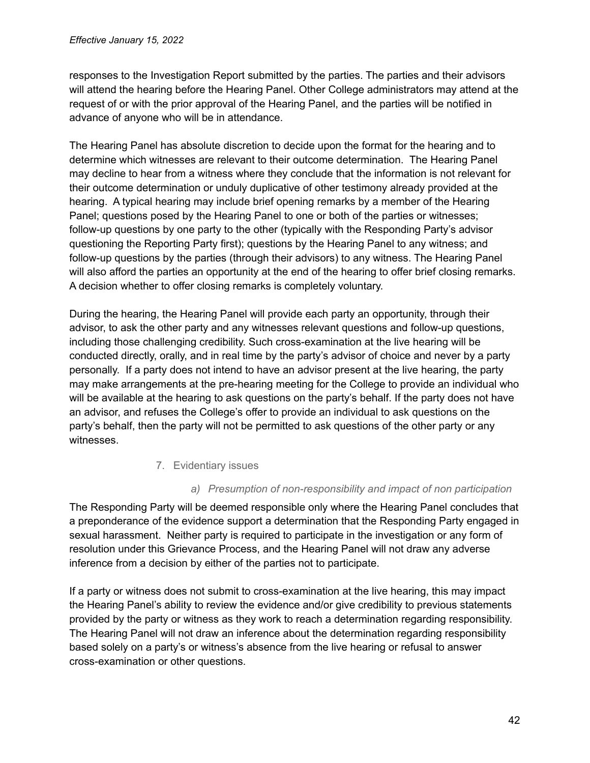responses to the Investigation Report submitted by the parties. The parties and their advisors will attend the hearing before the Hearing Panel. Other College administrators may attend at the request of or with the prior approval of the Hearing Panel, and the parties will be notified in advance of anyone who will be in attendance.

The Hearing Panel has absolute discretion to decide upon the format for the hearing and to determine which witnesses are relevant to their outcome determination. The Hearing Panel may decline to hear from a witness where they conclude that the information is not relevant for their outcome determination or unduly duplicative of other testimony already provided at the hearing. A typical hearing may include brief opening remarks by a member of the Hearing Panel; questions posed by the Hearing Panel to one or both of the parties or witnesses; follow-up questions by one party to the other (typically with the Responding Party's advisor questioning the Reporting Party first); questions by the Hearing Panel to any witness; and follow-up questions by the parties (through their advisors) to any witness. The Hearing Panel will also afford the parties an opportunity at the end of the hearing to offer brief closing remarks. A decision whether to offer closing remarks is completely voluntary.

During the hearing, the Hearing Panel will provide each party an opportunity, through their advisor, to ask the other party and any witnesses relevant questions and follow-up questions, including those challenging credibility. Such cross-examination at the live hearing will be conducted directly, orally, and in real time by the party's advisor of choice and never by a party personally. If a party does not intend to have an advisor present at the live hearing, the party may make arrangements at the pre-hearing meeting for the College to provide an individual who will be available at the hearing to ask questions on the party's behalf. If the party does not have an advisor, and refuses the College's offer to provide an individual to ask questions on the party's behalf, then the party will not be permitted to ask questions of the other party or any witnesses.

### 7. Evidentiary issues

### *a) Presumption of non-responsibility and impact of non participation*

<span id="page-41-1"></span><span id="page-41-0"></span>The Responding Party will be deemed responsible only where the Hearing Panel concludes that a preponderance of the evidence support a determination that the Responding Party engaged in sexual harassment. Neither party is required to participate in the investigation or any form of resolution under this Grievance Process, and the Hearing Panel will not draw any adverse inference from a decision by either of the parties not to participate.

If a party or witness does not submit to cross-examination at the live hearing, this may impact the Hearing Panel's ability to review the evidence and/or give credibility to previous statements provided by the party or witness as they work to reach a determination regarding responsibility. The Hearing Panel will not draw an inference about the determination regarding responsibility based solely on a party's or witness's absence from the live hearing or refusal to answer cross-examination or other questions.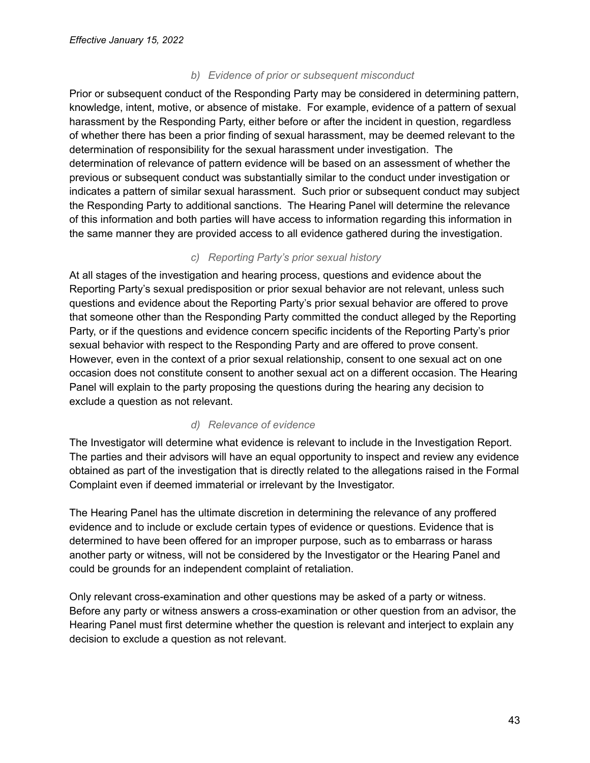#### *b) Evidence of prior or subsequent misconduct*

<span id="page-42-0"></span>Prior or subsequent conduct of the Responding Party may be considered in determining pattern, knowledge, intent, motive, or absence of mistake. For example, evidence of a pattern of sexual harassment by the Responding Party, either before or after the incident in question, regardless of whether there has been a prior finding of sexual harassment, may be deemed relevant to the determination of responsibility for the sexual harassment under investigation. The determination of relevance of pattern evidence will be based on an assessment of whether the previous or subsequent conduct was substantially similar to the conduct under investigation or indicates a pattern of similar sexual harassment. Such prior or subsequent conduct may subject the Responding Party to additional sanctions. The Hearing Panel will determine the relevance of this information and both parties will have access to information regarding this information in the same manner they are provided access to all evidence gathered during the investigation.

#### *c) Reporting Party's prior sexual history*

<span id="page-42-1"></span>At all stages of the investigation and hearing process, questions and evidence about the Reporting Party's sexual predisposition or prior sexual behavior are not relevant, unless such questions and evidence about the Reporting Party's prior sexual behavior are offered to prove that someone other than the Responding Party committed the conduct alleged by the Reporting Party, or if the questions and evidence concern specific incidents of the Reporting Party's prior sexual behavior with respect to the Responding Party and are offered to prove consent. However, even in the context of a prior sexual relationship, consent to one sexual act on one occasion does not constitute consent to another sexual act on a different occasion. The Hearing Panel will explain to the party proposing the questions during the hearing any decision to exclude a question as not relevant.

#### *d) Relevance of evidence*

<span id="page-42-2"></span>The Investigator will determine what evidence is relevant to include in the Investigation Report. The parties and their advisors will have an equal opportunity to inspect and review any evidence obtained as part of the investigation that is directly related to the allegations raised in the Formal Complaint even if deemed immaterial or irrelevant by the Investigator.

The Hearing Panel has the ultimate discretion in determining the relevance of any proffered evidence and to include or exclude certain types of evidence or questions. Evidence that is determined to have been offered for an improper purpose, such as to embarrass or harass another party or witness, will not be considered by the Investigator or the Hearing Panel and could be grounds for an independent complaint of retaliation.

Only relevant cross-examination and other questions may be asked of a party or witness. Before any party or witness answers a cross-examination or other question from an advisor, the Hearing Panel must first determine whether the question is relevant and interject to explain any decision to exclude a question as not relevant.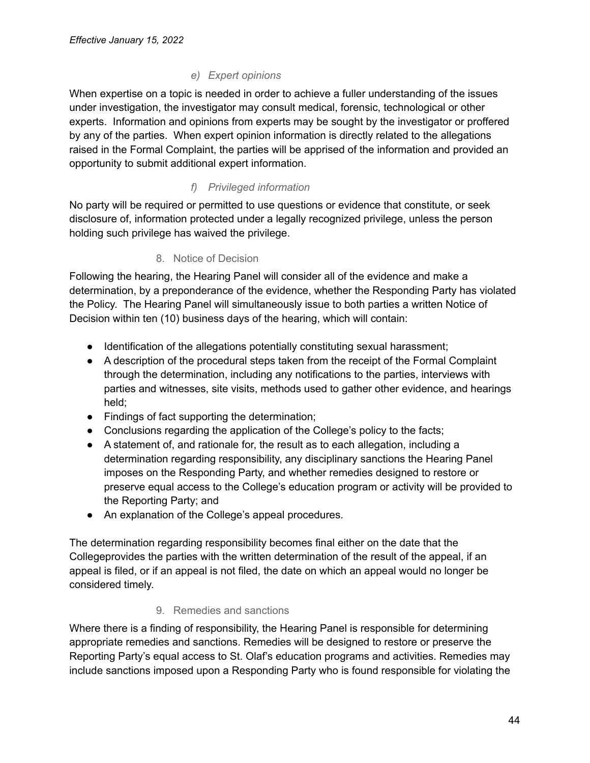# *e) Expert opinions*

<span id="page-43-0"></span>When expertise on a topic is needed in order to achieve a fuller understanding of the issues under investigation, the investigator may consult medical, forensic, technological or other experts. Information and opinions from experts may be sought by the investigator or proffered by any of the parties. When expert opinion information is directly related to the allegations raised in the Formal Complaint, the parties will be apprised of the information and provided an opportunity to submit additional expert information.

# *f) Privileged information*

<span id="page-43-1"></span>No party will be required or permitted to use questions or evidence that constitute, or seek disclosure of, information protected under a legally recognized privilege, unless the person holding such privilege has waived the privilege.

### 8. Notice of Decision

<span id="page-43-2"></span>Following the hearing, the Hearing Panel will consider all of the evidence and make a determination, by a preponderance of the evidence, whether the Responding Party has violated the Policy. The Hearing Panel will simultaneously issue to both parties a written Notice of Decision within ten (10) business days of the hearing, which will contain:

- Identification of the allegations potentially constituting sexual harassment;
- A description of the procedural steps taken from the receipt of the Formal Complaint through the determination, including any notifications to the parties, interviews with parties and witnesses, site visits, methods used to gather other evidence, and hearings held;
- Findings of fact supporting the determination;
- Conclusions regarding the application of the College's policy to the facts;
- A statement of, and rationale for, the result as to each allegation, including a determination regarding responsibility, any disciplinary sanctions the Hearing Panel imposes on the Responding Party, and whether remedies designed to restore or preserve equal access to the College's education program or activity will be provided to the Reporting Party; and
- An explanation of the College's appeal procedures.

The determination regarding responsibility becomes final either on the date that the Collegeprovides the parties with the written determination of the result of the appeal, if an appeal is filed, or if an appeal is not filed, the date on which an appeal would no longer be considered timely.

### 9. Remedies and sanctions

<span id="page-43-3"></span>Where there is a finding of responsibility, the Hearing Panel is responsible for determining appropriate remedies and sanctions. Remedies will be designed to restore or preserve the Reporting Party's equal access to St. Olaf's education programs and activities. Remedies may include sanctions imposed upon a Responding Party who is found responsible for violating the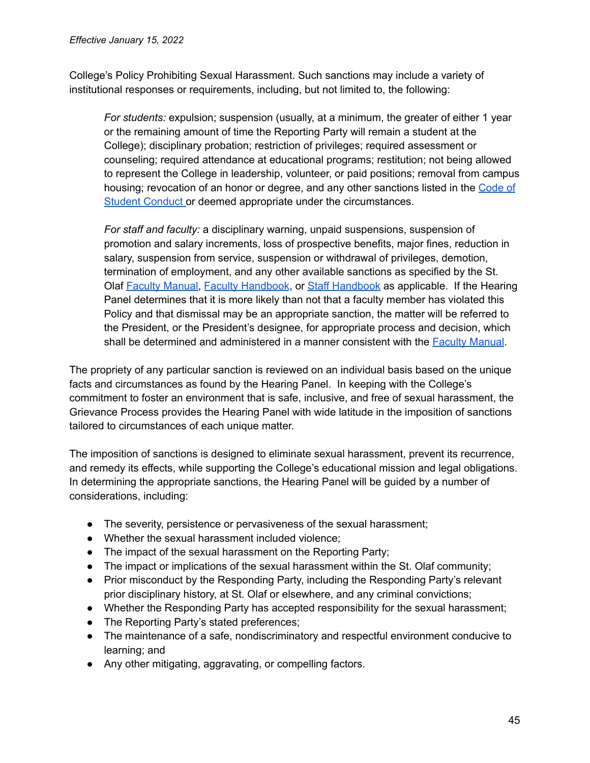College's Policy Prohibiting Sexual Harassment. Such sanctions may include a variety of institutional responses or requirements, including, but not limited to, the following:

*For students:* expulsion; suspension (usually, at a minimum, the greater of either 1 year or the remaining amount of time the Reporting Party will remain a student at the College); disciplinary probation; restriction of privileges; required assessment or counseling; required attendance at educational programs; restitution; not being allowed to represent the College in leadership, volunteer, or paid positions; removal from campus housing; revocation of an honor or degree, and any other sanctions listed in the [Code](https://wp.stolaf.edu/thebook/code-of-conduct/) of Student [Conduct](https://wp.stolaf.edu/thebook/code-of-conduct/) or deemed appropriate under the circumstances.

*For staff and faculty:* a disciplinary warning, unpaid suspensions, suspension of promotion and salary increments, loss of prospective benefits, major fines, reduction in salary, suspension from service, suspension or withdrawal of privileges, demotion, termination of employment, and any other available sanctions as specified by the St. Olaf Faculty [Manual,](https://wp.stolaf.edu/doc/faculty-manual/) Faculty [Handbook](https://wp.stolaf.edu/hr/files/2012/11/Staff-Handbook.pdf), or Staff Handbook as applicable. If the Hearing Panel determines that it is more likely than not that a faculty member has violated this Policy and that dismissal may be an appropriate sanction, the matter will be referred to the President, or the President's designee, for appropriate process and decision, which shall be determined and administered in a manner consistent with the Faculty [Manual](https://wp.stolaf.edu/doc/faculty-manual/).

The propriety of any particular sanction is reviewed on an individual basis based on the unique facts and circumstances as found by the Hearing Panel. In keeping with the College's commitment to foster an environment that is safe, inclusive, and free of sexual harassment, the Grievance Process provides the Hearing Panel with wide latitude in the imposition of sanctions tailored to circumstances of each unique matter.

The imposition of sanctions is designed to eliminate sexual harassment, prevent its recurrence, and remedy its effects, while supporting the College's educational mission and legal obligations. In determining the appropriate sanctions, the Hearing Panel will be guided by a number of considerations, including:

- The severity, persistence or pervasiveness of the sexual harassment;
- Whether the sexual harassment included violence;
- The impact of the sexual harassment on the Reporting Party;
- The impact or implications of the sexual harassment within the St. Olaf community;
- Prior misconduct by the Responding Party, including the Responding Party's relevant prior disciplinary history, at St. Olaf or elsewhere, and any criminal convictions;
- Whether the Responding Party has accepted responsibility for the sexual harassment;
- The Reporting Party's stated preferences;
- The maintenance of a safe, nondiscriminatory and respectful environment conducive to learning; and
- Any other mitigating, aggravating, or compelling factors.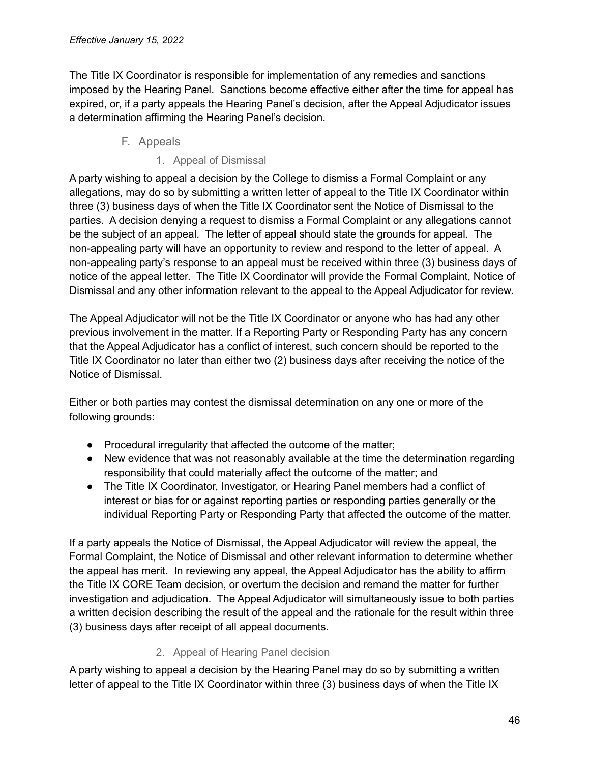The Title IX Coordinator is responsible for implementation of any remedies and sanctions imposed by the Hearing Panel. Sanctions become effective either after the time for appeal has expired, or, if a party appeals the Hearing Panel's decision, after the Appeal Adjudicator issues a determination affirming the Hearing Panel's decision.

# F. Appeals

1. Appeal of Dismissal

<span id="page-45-1"></span><span id="page-45-0"></span>A party wishing to appeal a decision by the College to dismiss a Formal Complaint or any allegations, may do so by submitting a written letter of appeal to the Title IX Coordinator within three (3) business days of when the Title IX Coordinator sent the Notice of Dismissal to the parties. A decision denying a request to dismiss a Formal Complaint or any allegations cannot be the subject of an appeal. The letter of appeal should state the grounds for appeal. The non-appealing party will have an opportunity to review and respond to the letter of appeal. A non-appealing party's response to an appeal must be received within three (3) business days of notice of the appeal letter. The Title IX Coordinator will provide the Formal Complaint, Notice of Dismissal and any other information relevant to the appeal to the Appeal Adjudicator for review.

The Appeal Adjudicator will not be the Title IX Coordinator or anyone who has had any other previous involvement in the matter. If a Reporting Party or Responding Party has any concern that the Appeal Adjudicator has a conflict of interest, such concern should be reported to the Title IX Coordinator no later than either two (2) business days after receiving the notice of the Notice of Dismissal.

Either or both parties may contest the dismissal determination on any one or more of the following grounds:

- Procedural irregularity that affected the outcome of the matter;
- New evidence that was not reasonably available at the time the determination regarding responsibility that could materially affect the outcome of the matter; and
- The Title IX Coordinator, Investigator, or Hearing Panel members had a conflict of interest or bias for or against reporting parties or responding parties generally or the individual Reporting Party or Responding Party that affected the outcome of the matter.

If a party appeals the Notice of Dismissal, the Appeal Adjudicator will review the appeal, the Formal Complaint, the Notice of Dismissal and other relevant information to determine whether the appeal has merit. In reviewing any appeal, the Appeal Adjudicator has the ability to affirm the Title IX CORE Team decision, or overturn the decision and remand the matter for further investigation and adjudication. The Appeal Adjudicator will simultaneously issue to both parties a written decision describing the result of the appeal and the rationale for the result within three (3) business days after receipt of all appeal documents.

### 2. Appeal of Hearing Panel decision

<span id="page-45-2"></span>A party wishing to appeal a decision by the Hearing Panel may do so by submitting a written letter of appeal to the Title IX Coordinator within three (3) business days of when the Title IX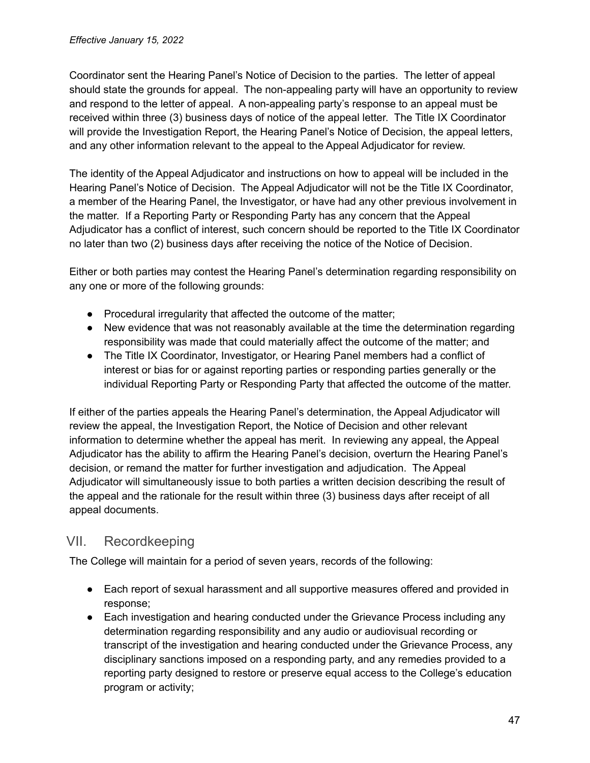Coordinator sent the Hearing Panel's Notice of Decision to the parties. The letter of appeal should state the grounds for appeal. The non-appealing party will have an opportunity to review and respond to the letter of appeal. A non-appealing party's response to an appeal must be received within three (3) business days of notice of the appeal letter. The Title IX Coordinator will provide the Investigation Report, the Hearing Panel's Notice of Decision, the appeal letters, and any other information relevant to the appeal to the Appeal Adjudicator for review.

The identity of the Appeal Adjudicator and instructions on how to appeal will be included in the Hearing Panel's Notice of Decision. The Appeal Adjudicator will not be the Title IX Coordinator, a member of the Hearing Panel, the Investigator, or have had any other previous involvement in the matter. If a Reporting Party or Responding Party has any concern that the Appeal Adjudicator has a conflict of interest, such concern should be reported to the Title IX Coordinator no later than two (2) business days after receiving the notice of the Notice of Decision.

Either or both parties may contest the Hearing Panel's determination regarding responsibility on any one or more of the following grounds:

- Procedural irregularity that affected the outcome of the matter;
- New evidence that was not reasonably available at the time the determination regarding responsibility was made that could materially affect the outcome of the matter; and
- The Title IX Coordinator, Investigator, or Hearing Panel members had a conflict of interest or bias for or against reporting parties or responding parties generally or the individual Reporting Party or Responding Party that affected the outcome of the matter.

If either of the parties appeals the Hearing Panel's determination, the Appeal Adjudicator will review the appeal, the Investigation Report, the Notice of Decision and other relevant information to determine whether the appeal has merit. In reviewing any appeal, the Appeal Adjudicator has the ability to affirm the Hearing Panel's decision, overturn the Hearing Panel's decision, or remand the matter for further investigation and adjudication. The Appeal Adjudicator will simultaneously issue to both parties a written decision describing the result of the appeal and the rationale for the result within three (3) business days after receipt of all appeal documents.

# <span id="page-46-0"></span>VII. Recordkeeping

The College will maintain for a period of seven years, records of the following:

- Each report of sexual harassment and all supportive measures offered and provided in response;
- Each investigation and hearing conducted under the Grievance Process including any determination regarding responsibility and any audio or audiovisual recording or transcript of the investigation and hearing conducted under the Grievance Process, any disciplinary sanctions imposed on a responding party, and any remedies provided to a reporting party designed to restore or preserve equal access to the College's education program or activity;